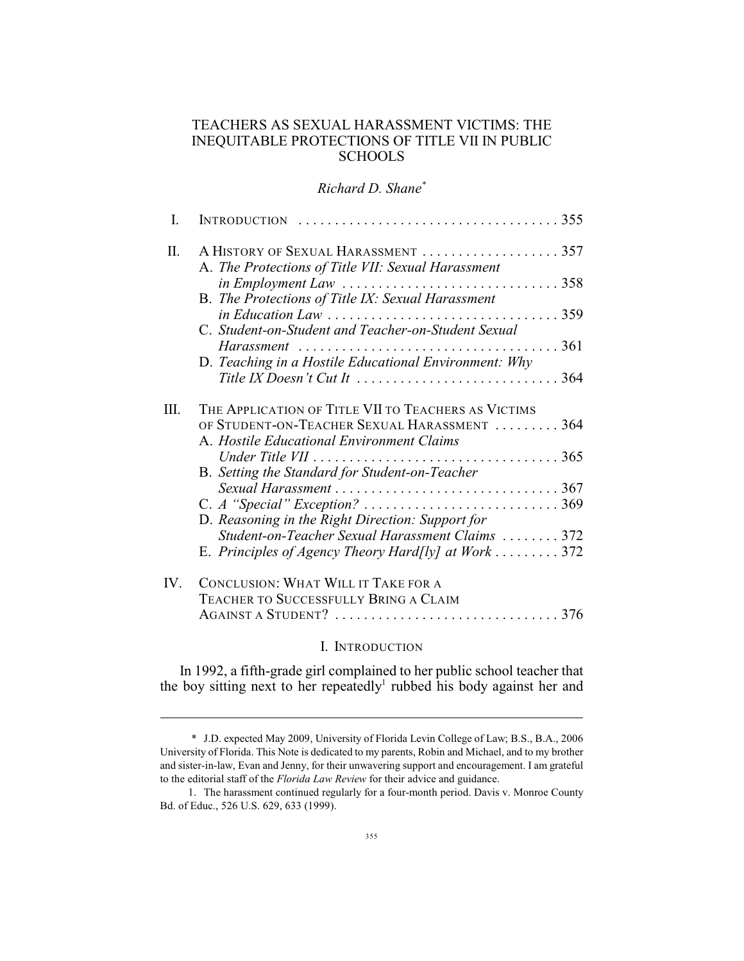## TEACHERS AS SEXUAL HARASSMENT VICTIMS: THE INEQUITABLE PROTECTIONS OF TITLE VII IN PUBLIC **SCHOOLS**

*Richard D. Shane\**

| I.  | INTRODUCTION $\ldots \ldots \ldots \ldots \ldots \ldots \ldots \ldots \ldots \ldots \ldots 355$                                                               |
|-----|---------------------------------------------------------------------------------------------------------------------------------------------------------------|
| Π.  | A HISTORY OF SEXUAL HARASSMENT  357<br>A. The Protections of Title VII: Sexual Harassment                                                                     |
|     | in Employment Law $\ldots \ldots \ldots \ldots \ldots \ldots \ldots \ldots \ldots \ldots 358$                                                                 |
|     | B. The Protections of Title IX: Sexual Harassment<br>$\text{in Education}$ Law $\ldots \ldots \ldots \ldots \ldots \ldots \ldots \ldots \ldots \ldots \ldots$ |
|     | C. Student-on-Student and Teacher-on-Student Sexual                                                                                                           |
|     | D. Teaching in a Hostile Educational Environment: Why                                                                                                         |
|     | Title IX Doesn't Cut It $\dots \dots \dots \dots \dots \dots \dots \dots \dots \dots 364$                                                                     |
| Ш.  | THE APPLICATION OF TITLE VII TO TEACHERS AS VICTIMS                                                                                                           |
|     | OF STUDENT-ON-TEACHER SEXUAL HARASSMENT  364<br>A. Hostile Educational Environment Claims                                                                     |
|     |                                                                                                                                                               |
|     | B. Setting the Standard for Student-on-Teacher                                                                                                                |
|     |                                                                                                                                                               |
|     | D. Reasoning in the Right Direction: Support for<br>Student-on-Teacher Sexual Harassment Claims  372                                                          |
|     | E. Principles of Agency Theory Hard[ly] at Work 372                                                                                                           |
| IV. | <b>CONCLUSION: WHAT WILL IT TAKE FOR A</b>                                                                                                                    |
|     | TEACHER TO SUCCESSFULLY BRING A CLAIM                                                                                                                         |
|     | AGAINST A STUDENT? $\ldots \ldots \ldots \ldots \ldots \ldots \ldots \ldots \ldots \ldots 376$                                                                |

#### I. INTRODUCTION

In 1992, a fifth-grade girl complained to her public school teacher that the boy sitting next to her repeatedly<sup>1</sup> rubbed his body against her and

<sup>\*</sup> J.D. expected May 2009, University of Florida Levin College of Law; B.S., B.A., 2006 University of Florida. This Note is dedicated to my parents, Robin and Michael, and to my brother and sister-in-law, Evan and Jenny, for their unwavering support and encouragement. I am grateful to the editorial staff of the *Florida Law Review* for their advice and guidance.

<sup>1.</sup> The harassment continued regularly for a four-month period. Davis v. Monroe County Bd. of Educ., 526 U.S. 629, 633 (1999).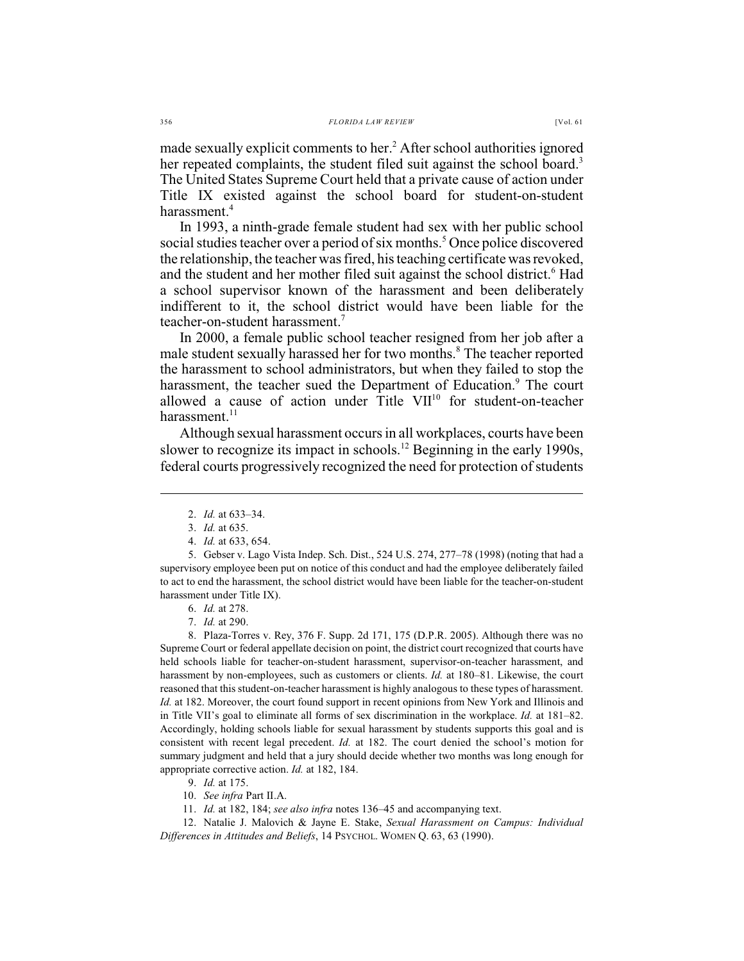made sexually explicit comments to her.<sup>2</sup> After school authorities ignored her repeated complaints, the student filed suit against the school board.<sup>3</sup> The United States Supreme Court held that a private cause of action under Title IX existed against the school board for student-on-student harassment.<sup>4</sup>

In 1993, a ninth-grade female student had sex with her public school social studies teacher over a period of six months.<sup>5</sup> Once police discovered the relationship, the teacher was fired, his teaching certificate was revoked, and the student and her mother filed suit against the school district.<sup>6</sup> Had a school supervisor known of the harassment and been deliberately indifferent to it, the school district would have been liable for the teacher-on-student harassment.<sup>7</sup>

In 2000, a female public school teacher resigned from her job after a male student sexually harassed her for two months.<sup>8</sup> The teacher reported the harassment to school administrators, but when they failed to stop the harassment, the teacher sued the Department of Education.<sup>9</sup> The court allowed a cause of action under Title  $VII^{10}$  for student-on-teacher harassment. $11$ 

Although sexual harassment occurs in all workplaces, courts have been slower to recognize its impact in schools.<sup>12</sup> Beginning in the early 1990s, federal courts progressively recognized the need for protection of students

8. Plaza-Torres v. Rey, 376 F. Supp. 2d 171, 175 (D.P.R. 2005). Although there was no Supreme Court or federal appellate decision on point, the district court recognized that courts have held schools liable for teacher-on-student harassment, supervisor-on-teacher harassment, and harassment by non-employees, such as customers or clients. *Id.* at 180–81. Likewise, the court reasoned that this student-on-teacher harassment is highly analogous to these types of harassment. *Id.* at 182. Moreover, the court found support in recent opinions from New York and Illinois and in Title VII's goal to eliminate all forms of sex discrimination in the workplace. *Id.* at 181–82. Accordingly, holding schools liable for sexual harassment by students supports this goal and is consistent with recent legal precedent. *Id.* at 182. The court denied the school's motion for summary judgment and held that a jury should decide whether two months was long enough for appropriate corrective action. *Id.* at 182, 184.

- 9. *Id.* at 175.
- 10. *See infra* Part II.A.
- 11. *Id.* at 182, 184; *see also infra* notes 136–45 and accompanying text.

12. Natalie J. Malovich & Jayne E. Stake, *Sexual Harassment on Campus: Individual Differences in Attitudes and Beliefs*, 14 PSYCHOL. WOMEN Q. 63, 63 (1990).

<sup>2.</sup> *Id.* at 633–34.

<sup>3.</sup> *Id.* at 635.

<sup>4.</sup> *Id.* at 633, 654.

<sup>5.</sup> Gebser v. Lago Vista Indep. Sch. Dist., 524 U.S. 274, 277–78 (1998) (noting that had a supervisory employee been put on notice of this conduct and had the employee deliberately failed to act to end the harassment, the school district would have been liable for the teacher-on-student harassment under Title IX).

<sup>6.</sup> *Id.* at 278.

<sup>7.</sup> *Id.* at 290.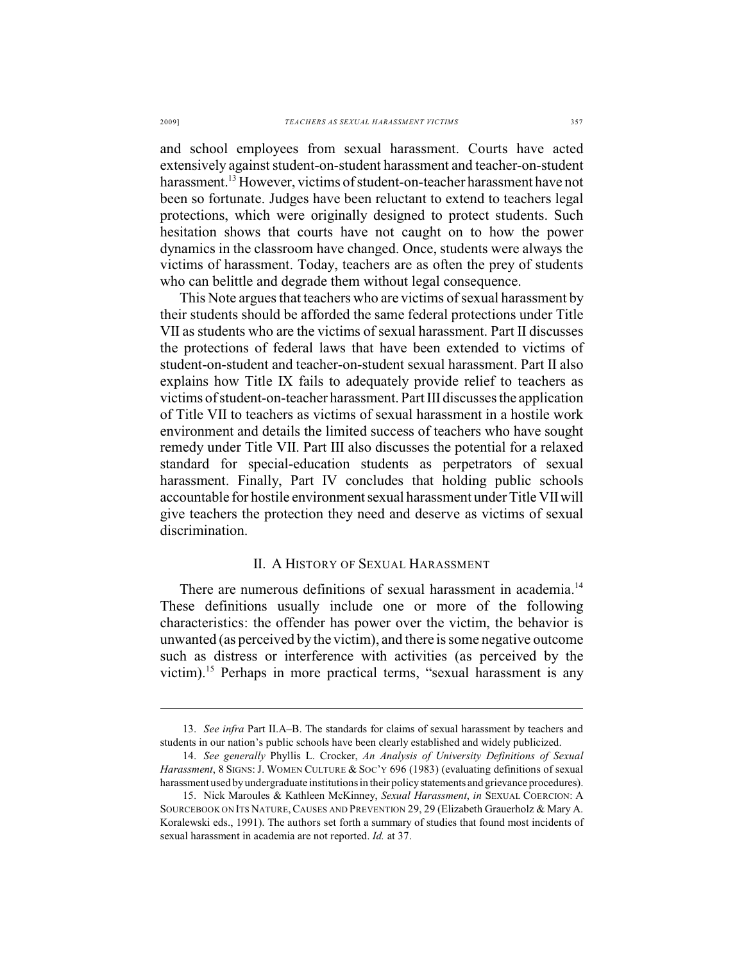and school employees from sexual harassment. Courts have acted extensively against student-on-student harassment and teacher-on-student harassment.<sup>13</sup> However, victims of student-on-teacher harassment have not been so fortunate. Judges have been reluctant to extend to teachers legal protections, which were originally designed to protect students. Such hesitation shows that courts have not caught on to how the power dynamics in the classroom have changed. Once, students were always the victims of harassment. Today, teachers are as often the prey of students who can belittle and degrade them without legal consequence.

This Note argues that teachers who are victims of sexual harassment by their students should be afforded the same federal protections under Title VII as students who are the victims of sexual harassment. Part II discusses the protections of federal laws that have been extended to victims of student-on-student and teacher-on-student sexual harassment. Part II also explains how Title IX fails to adequately provide relief to teachers as victims of student-on-teacher harassment. Part III discusses the application of Title VII to teachers as victims of sexual harassment in a hostile work environment and details the limited success of teachers who have sought remedy under Title VII. Part III also discusses the potential for a relaxed standard for special-education students as perpetrators of sexual harassment. Finally, Part IV concludes that holding public schools accountable for hostile environment sexual harassment under Title VII will give teachers the protection they need and deserve as victims of sexual discrimination.

## II. A HISTORY OF SEXUAL HARASSMENT

There are numerous definitions of sexual harassment in academia.<sup>14</sup> These definitions usually include one or more of the following characteristics: the offender has power over the victim, the behavior is unwanted (as perceived by the victim), and there is some negative outcome such as distress or interference with activities (as perceived by the victim).<sup>15</sup> Perhaps in more practical terms, "sexual harassment is any

<sup>13.</sup> *See infra* Part II.A–B. The standards for claims of sexual harassment by teachers and students in our nation's public schools have been clearly established and widely publicized.

<sup>14.</sup> *See generally* Phyllis L. Crocker, *An Analysis of University Definitions of Sexual Harassment*, 8 SIGNS: J. WOMEN CULTURE & SOC'Y 696 (1983) (evaluating definitions of sexual harassment used by undergraduate institutions in their policy statements and grievance procedures).

<sup>15.</sup> Nick Maroules & Kathleen McKinney, *Sexual Harassment*, *in* SEXUAL COERCION: A SOURCEBOOK ON ITS NATURE, CAUSES AND PREVENTION 29, 29 (Elizabeth Grauerholz & Mary A. Koralewski eds., 1991). The authors set forth a summary of studies that found most incidents of sexual harassment in academia are not reported. *Id.* at 37.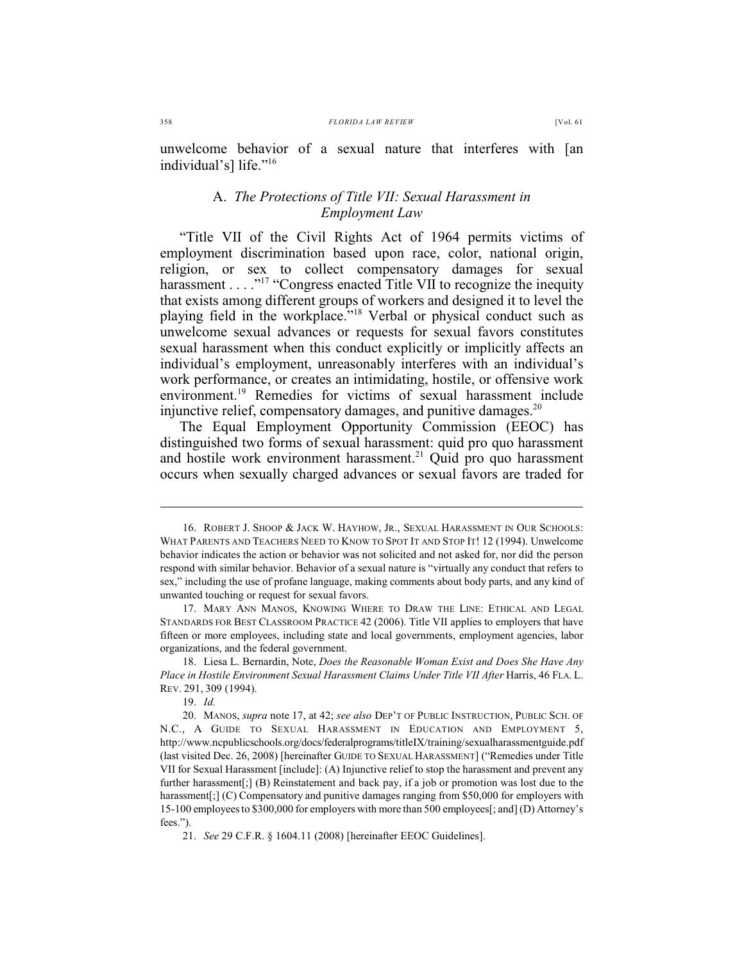unwelcome behavior of a sexual nature that interferes with [an individual's] life."<sup>16</sup>

## A. *The Protections of Title VII: Sexual Harassment in Employment Law*

"Title VII of the Civil Rights Act of 1964 permits victims of employment discrimination based upon race, color, national origin, religion, or sex to collect compensatory damages for sexual harassment . . . ."<sup>17</sup> "Congress enacted Title VII to recognize the inequity that exists among different groups of workers and designed it to level the playing field in the workplace."<sup>18</sup> Verbal or physical conduct such as unwelcome sexual advances or requests for sexual favors constitutes sexual harassment when this conduct explicitly or implicitly affects an individual's employment, unreasonably interferes with an individual's work performance, or creates an intimidating, hostile, or offensive work environment.<sup>19</sup> Remedies for victims of sexual harassment include injunctive relief, compensatory damages, and punitive damages. $20$ 

The Equal Employment Opportunity Commission (EEOC) has distinguished two forms of sexual harassment: quid pro quo harassment and hostile work environment harassment.<sup>21</sup> Quid pro quo harassment occurs when sexually charged advances or sexual favors are traded for

<sup>16.</sup> ROBERT J. SHOOP & JACK W. HAYHOW, JR., SEXUAL HARASSMENT IN OUR SCHOOLS: WHAT PARENTS AND TEACHERS NEED TO KNOW TO SPOT IT AND STOP IT! 12 (1994). Unwelcome behavior indicates the action or behavior was not solicited and not asked for, nor did the person respond with similar behavior. Behavior of a sexual nature is "virtually any conduct that refers to sex," including the use of profane language, making comments about body parts, and any kind of unwanted touching or request for sexual favors.

<sup>17.</sup> MARY ANN MANOS, KNOWING WHERE TO DRAW THE LINE: ETHICAL AND LEGAL STANDARDS FOR BEST CLASSROOM PRACTICE 42 (2006). Title VII applies to employers that have fifteen or more employees, including state and local governments, employment agencies, labor organizations, and the federal government.

<sup>18.</sup> Liesa L. Bernardin, Note, *Does the Reasonable Woman Exist and Does She Have Any* Place in Hostile Environment Sexual Harassment Claims Under Title VII After Harris, 46 FLA. L. REV. 291, 309 (1994).

<sup>19.</sup> *Id.*

<sup>20.</sup> MANOS, *supra* note 17, at 42; *see also* DEP'T OF PUBLIC INSTRUCTION, PUBLIC SCH. OF N.C., A GUIDE TO SEXUAL HARASSMENT IN EDUCATION AND EMPLOYMENT 5, http://www.ncpublicschools.org/docs/federalprograms/titleIX/training/sexualharassmentguide.pdf (last visited Dec. 26, 2008) [hereinafter GUIDE TO SEXUAL HARASSMENT] ("Remedies under Title VII for Sexual Harassment [include]: (A) Injunctive relief to stop the harassment and prevent any further harassment[;] (B) Reinstatement and back pay, if a job or promotion was lost due to the harassment[;] (C) Compensatory and punitive damages ranging from \$50,000 for employers with 15-100 employees to \$300,000 for employers with more than 500 employees[; and] (D) Attorney's fees.").

<sup>21.</sup> *See* 29 C.F.R. § 1604.11 (2008) [hereinafter EEOC Guidelines].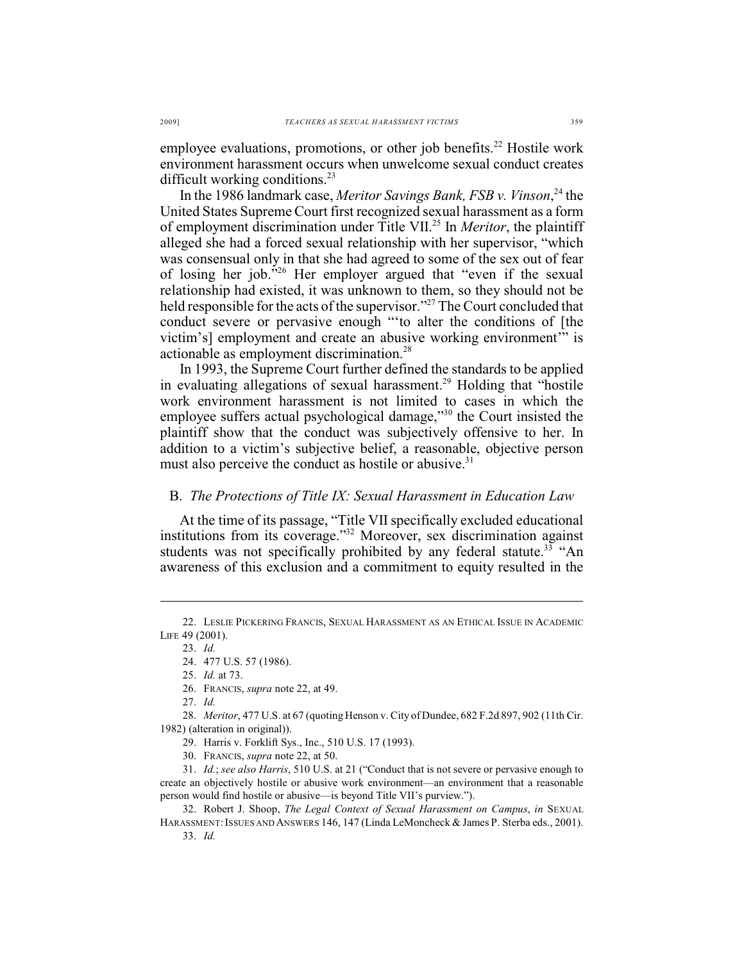employee evaluations, promotions, or other job benefits.<sup>22</sup> Hostile work environment harassment occurs when unwelcome sexual conduct creates difficult working conditions.<sup>23</sup>

In the 1986 landmark case, *Meritor Savings Bank, FSB v. Vinson*<sup>24</sup> the United States Supreme Court first recognized sexual harassment as a form of employment discrimination under Title VII.<sup>25</sup> In *Meritor*, the plaintiff alleged she had a forced sexual relationship with her supervisor, "which was consensual only in that she had agreed to some of the sex out of fear of losing her job." Her employer argued that "even if the sexual relationship had existed, it was unknown to them, so they should not be held responsible for the acts of the supervisor."<sup>27</sup> The Court concluded that conduct severe or pervasive enough "'to alter the conditions of [the victim's] employment and create an abusive working environment'" is actionable as employment discrimination.<sup>28</sup>

In 1993, the Supreme Court further defined the standards to be applied in evaluating allegations of sexual harassment.<sup>29</sup> Holding that "hostile work environment harassment is not limited to cases in which the employee suffers actual psychological damage,"<sup>30</sup> the Court insisted the plaintiff show that the conduct was subjectively offensive to her. In addition to a victim's subjective belief, a reasonable, objective person must also perceive the conduct as hostile or abusive.<sup>31</sup>

# B. *The Protections of Title IX: Sexual Harassment in Education Law*

At the time of its passage, "Title VII specifically excluded educational institutions from its coverage."<sup>32</sup> Moreover, sex discrimination against students was not specifically prohibited by any federal statute.<sup>33</sup> "An awareness of this exclusion and a commitment to equity resulted in the

27. *Id.*

28. *Meritor*, 477 U.S. at 67 (quoting Henson v. City of Dundee, 682 F.2d 897, 902 (11th Cir. 1982) (alteration in original)).

29. Harris v. Forklift Sys., Inc., 510 U.S. 17 (1993).

31. *Id.*; *see also Harris*, 510 U.S. at 21 ("Conduct that is not severe or pervasive enough to create an objectively hostile or abusive work environment—an environment that a reasonable person would find hostile or abusive—is beyond Title VII's purview.").

32. Robert J. Shoop, *The Legal Context of Sexual Harassment on Campus*, *in* SEXUAL HARASSMENT: ISSUES AND ANSWERS 146, 147 (Linda LeMoncheck & James P. Sterba eds., 2001). 33. *Id.*

<sup>22.</sup> LESLIE PICKERING FRANCIS, SEXUAL HARASSMENT AS AN ETHICAL ISSUE IN ACADEMIC LIFE 49 (2001).

<sup>23.</sup> *Id.*

<sup>24.</sup> 477 U.S. 57 (1986).

<sup>25.</sup> *Id.* at 73.

<sup>26.</sup> FRANCIS, *supra* note 22, at 49.

<sup>30.</sup> FRANCIS, *supra* note 22, at 50.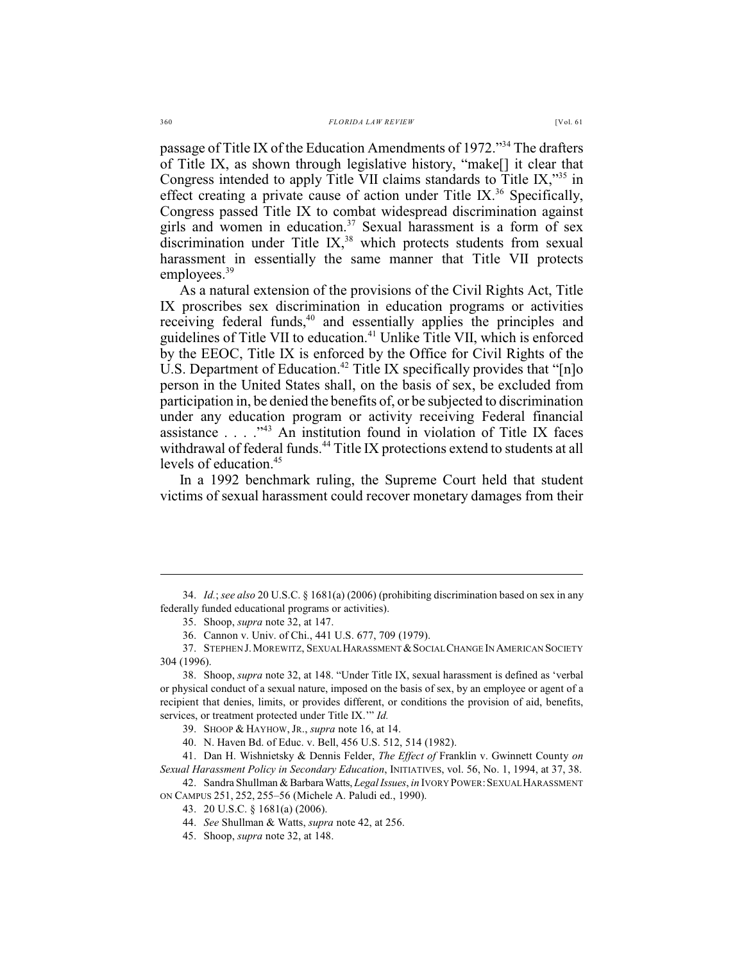passage of Title IX of the Education Amendments of 1972."<sup>34</sup> The drafters of Title IX, as shown through legislative history, "make[] it clear that Congress intended to apply Title VII claims standards to Title IX,"<sup>35</sup> in effect creating a private cause of action under Title IX.<sup>36</sup> Specifically, Congress passed Title IX to combat widespread discrimination against girls and women in education.<sup>37</sup> Sexual harassment is a form of sex discrimination under Title IX, $38$  which protects students from sexual harassment in essentially the same manner that Title VII protects employees.<sup>39</sup>

As a natural extension of the provisions of the Civil Rights Act, Title IX proscribes sex discrimination in education programs or activities receiving federal funds, $40$  and essentially applies the principles and guidelines of Title VII to education.<sup>41</sup> Unlike Title VII, which is enforced by the EEOC, Title IX is enforced by the Office for Civil Rights of the U.S. Department of Education.<sup>42</sup> Title IX specifically provides that " $[n]$ <sup>o</sup> person in the United States shall, on the basis of sex, be excluded from participation in, be denied the benefits of, or be subjected to discrimination under any education program or activity receiving Federal financial assistance . . . ." An institution found in violation of Title IX faces <sup>43</sup> withdrawal of federal funds.<sup>44</sup> Title IX protections extend to students at all levels of education.<sup>45</sup>

In a 1992 benchmark ruling, the Supreme Court held that student victims of sexual harassment could recover monetary damages from their

<sup>34.</sup> *Id.*; *see also* 20 U.S.C. § 1681(a) (2006) (prohibiting discrimination based on sex in any federally funded educational programs or activities).

<sup>35.</sup> Shoop, *supra* note 32, at 147.

<sup>36.</sup> Cannon v. Univ. of Chi., 441 U.S. 677, 709 (1979).

<sup>37.</sup> STEPHEN J. MOREWITZ, SEXUAL HARASSMENT & SOCIAL CHANGE IN AMERICAN SOCIETY 304 (1996).

<sup>38.</sup> Shoop, *supra* note 32, at 148. "Under Title IX, sexual harassment is defined as 'verbal or physical conduct of a sexual nature, imposed on the basis of sex, by an employee or agent of a recipient that denies, limits, or provides different, or conditions the provision of aid, benefits, services, or treatment protected under Title IX.'" *Id.*

<sup>39.</sup> SHOOP & HAYHOW, JR., *supra* note 16, at 14.

<sup>40.</sup> N. Haven Bd. of Educ. v. Bell, 456 U.S. 512, 514 (1982).

<sup>41.</sup> Dan H. Wishnietsky & Dennis Felder, *The Effect of* Franklin v. Gwinnett County *on Sexual Harassment Policy in Secondary Education*, INITIATIVES, vol. 56, No. 1, 1994, at 37, 38.

<sup>42.</sup> Sandra Shullman & Barbara Watts, *Legal Issues*, *in* IVORY POWER:SEXUAL HARASSMENT ON CAMPUS 251, 252, 255–56 (Michele A. Paludi ed., 1990).

<sup>43.</sup> 20 U.S.C. § 1681(a) (2006).

<sup>44.</sup> *See* Shullman & Watts, *supra* note 42, at 256.

<sup>45.</sup> Shoop, *supra* note 32, at 148.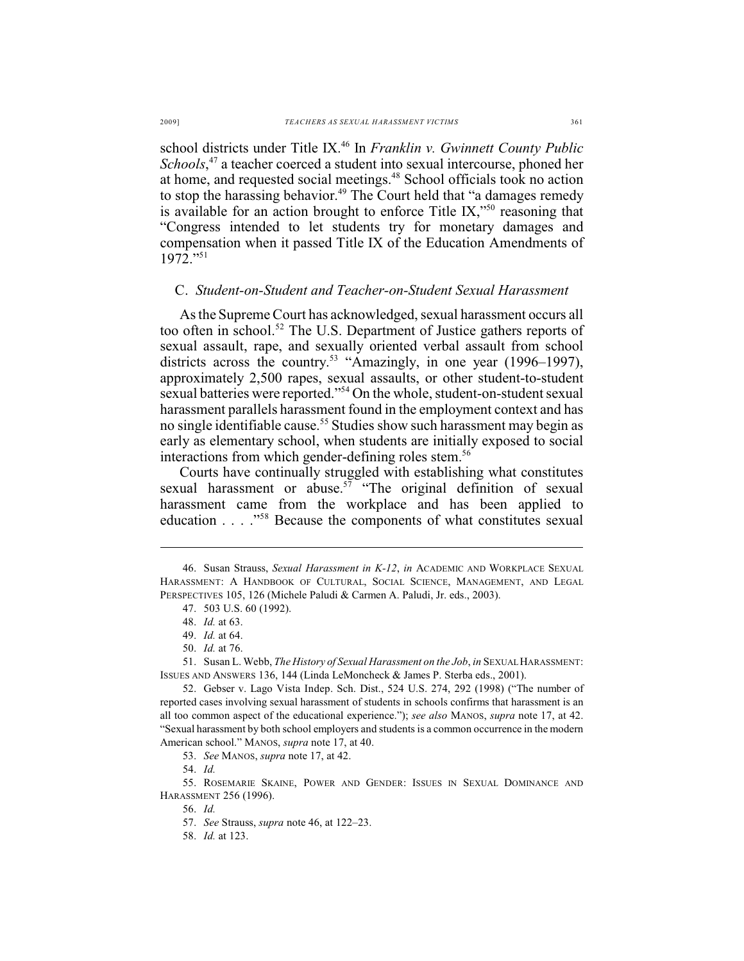school districts under Title IX.<sup>46</sup> In *Franklin v. Gwinnett County Public Schools*,<sup>47</sup> a teacher coerced a student into sexual intercourse, phoned her at home, and requested social meetings.<sup>48</sup> School officials took no action to stop the harassing behavior.<sup>49</sup> The Court held that "a damages remedy is available for an action brought to enforce Title IX,"<sup>50</sup> reasoning that "Congress intended to let students try for monetary damages and compensation when it passed Title IX of the Education Amendments of 1972."<sup>51</sup>

#### C. *Student-on-Student and Teacher-on-Student Sexual Harassment*

As the Supreme Court has acknowledged, sexual harassment occurs all too often in school.<sup>52</sup> The U.S. Department of Justice gathers reports of sexual assault, rape, and sexually oriented verbal assault from school districts across the country.<sup>53</sup> "Amazingly, in one year (1996–1997), approximately 2,500 rapes, sexual assaults, or other student-to-student sexual batteries were reported."<sup>54</sup> On the whole, student-on-student sexual harassment parallels harassment found in the employment context and has no single identifiable cause.<sup>55</sup> Studies show such harassment may begin as early as elementary school, when students are initially exposed to social interactions from which gender-defining roles stem.<sup>56</sup>

Courts have continually struggled with establishing what constitutes sexual harassment or abuse.<sup> $57$ </sup> "The original definition of sexual harassment came from the workplace and has been applied to education . . . ."<sup>58</sup> Because the components of what constitutes sexual

53. *See* MANOS, *supra* note 17, at 42.

55. ROSEMARIE SKAINE, POWER AND GENDER: ISSUES IN SEXUAL DOMINANCE AND HARASSMENT 256 (1996).

56. *Id.*

<sup>46.</sup> Susan Strauss, *Sexual Harassment in K-12*, *in* ACADEMIC AND WORKPLACE SEXUAL HARASSMENT: A HANDBOOK OF CULTURAL, SOCIAL SCIENCE, MANAGEMENT, AND LEGAL PERSPECTIVES 105, 126 (Michele Paludi & Carmen A. Paludi, Jr. eds., 2003).

<sup>47.</sup> 503 U.S. 60 (1992).

<sup>48.</sup> *Id.* at 63.

<sup>49.</sup> *Id.* at 64.

<sup>50.</sup> *Id.* at 76.

<sup>51.</sup> Susan L. Webb, *The History of Sexual Harassment on the Job*, *in* SEXUAL HARASSMENT: ISSUES AND ANSWERS 136, 144 (Linda LeMoncheck & James P. Sterba eds., 2001).

<sup>52.</sup> Gebser v. Lago Vista Indep. Sch. Dist., 524 U.S. 274, 292 (1998) ("The number of reported cases involving sexual harassment of students in schools confirms that harassment is an all too common aspect of the educational experience."); *see also* MANOS, *supra* note 17, at 42. "Sexual harassment by both school employers and students is a common occurrence in the modern American school." MANOS, *supra* note 17, at 40.

<sup>54.</sup> *Id.*

<sup>57.</sup> *See* Strauss, *supra* note 46, at 122–23.

<sup>58.</sup> *Id.* at 123.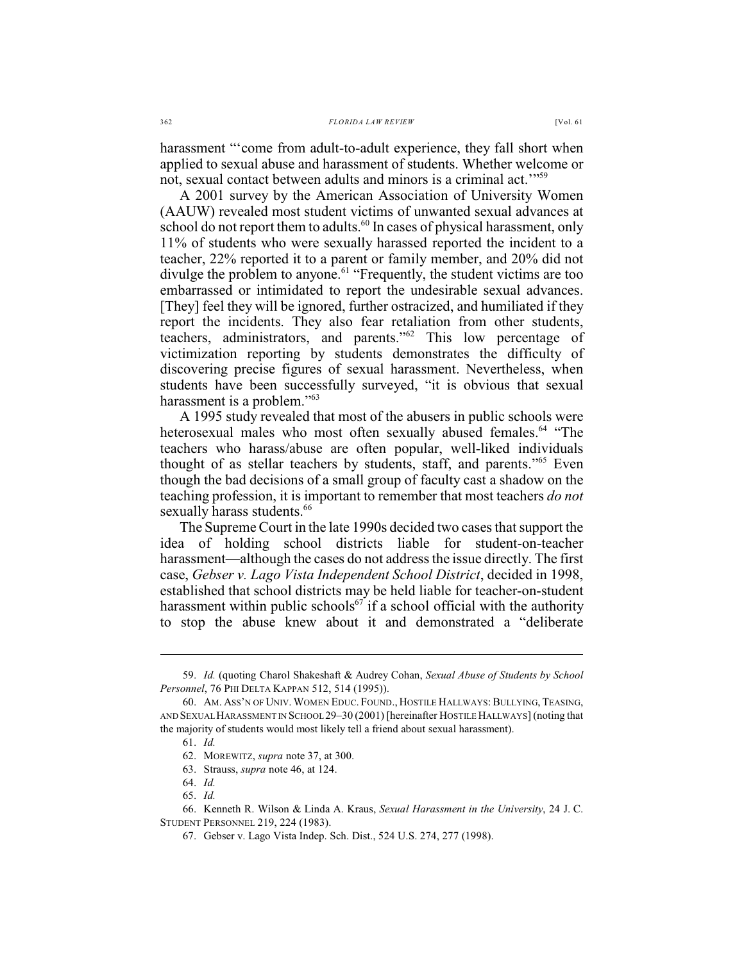harassment "'come from adult-to-adult experience, they fall short when applied to sexual abuse and harassment of students. Whether welcome or

not, sexual contact between adults and minors is a criminal act.'"<sup>59</sup> A 2001 survey by the American Association of University Women (AAUW) revealed most student victims of unwanted sexual advances at school do not report them to adults.<sup>60</sup> In cases of physical harassment, only 11% of students who were sexually harassed reported the incident to a teacher, 22% reported it to a parent or family member, and 20% did not divulge the problem to anyone.<sup>61</sup> "Frequently, the student victims are too embarrassed or intimidated to report the undesirable sexual advances. [They] feel they will be ignored, further ostracized, and humiliated if they report the incidents. They also fear retaliation from other students, teachers, administrators, and parents." $62$  This low percentage of victimization reporting by students demonstrates the difficulty of discovering precise figures of sexual harassment. Nevertheless, when students have been successfully surveyed, "it is obvious that sexual harassment is a problem."<sup>63</sup>

A 1995 study revealed that most of the abusers in public schools were heterosexual males who most often sexually abused females.<sup>64</sup> "The teachers who harass/abuse are often popular, well-liked individuals thought of as stellar teachers by students, staff, and parents." $65$  Even though the bad decisions of a small group of faculty cast a shadow on the teaching profession, it is important to remember that most teachers *do not* sexually harass students.<sup>66</sup>

The Supreme Court in the late 1990s decided two cases that support the idea of holding school districts liable for student-on-teacher harassment—although the cases do not address the issue directly. The first case, *Gebser v. Lago Vista Independent School District*, decided in 1998, established that school districts may be held liable for teacher-on-student harassment within public schools<sup>67</sup> if a school official with the authority to stop the abuse knew about it and demonstrated a "deliberate

<sup>59.</sup> *Id.* (quoting Charol Shakeshaft & Audrey Cohan, *Sexual Abuse of Students by School Personnel*, 76 PHI DELTA KAPPAN 512, 514 (1995)).

<sup>60.</sup> AM. ASS'N OF UNIV. WOMEN EDUC. FOUND., HOSTILE HALLWAYS: BULLYING, TEASING, AND SEXUAL HARASSMENT IN SCHOOL 29–30 (2001) [hereinafter HOSTILE HALLWAYS] (noting that the majority of students would most likely tell a friend about sexual harassment).

<sup>61.</sup> *Id.* 

<sup>62.</sup> MOREWITZ, *supra* note 37, at 300.

<sup>63.</sup> Strauss, *supra* note 46, at 124.

<sup>64.</sup> *Id.*

<sup>65.</sup> *Id.*

<sup>66.</sup> Kenneth R. Wilson & Linda A. Kraus, *Sexual Harassment in the University*, 24 J. C. STUDENT PERSONNEL 219, 224 (1983).

<sup>67.</sup> Gebser v. Lago Vista Indep. Sch. Dist., 524 U.S. 274, 277 (1998).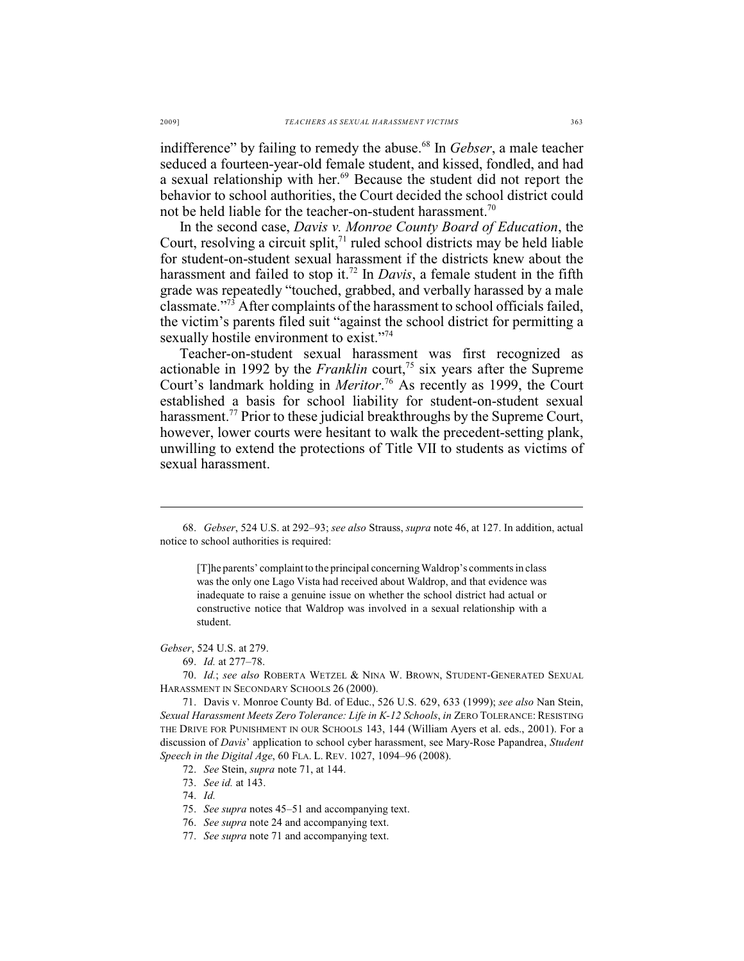indifference" by failing to remedy the abuse.<sup>68</sup> In *Gebser*, a male teacher seduced a fourteen-year-old female student, and kissed, fondled, and had a sexual relationship with her.<sup>69</sup> Because the student did not report the behavior to school authorities, the Court decided the school district could not be held liable for the teacher-on-student harassment.<sup>70</sup>

In the second case, *Davis v. Monroe County Board of Education*, the Court, resolving a circuit split, $71$  ruled school districts may be held liable for student-on-student sexual harassment if the districts knew about the harassment and failed to stop it.<sup>72</sup> In *Davis*, a female student in the fifth grade was repeatedly "touched, grabbed, and verbally harassed by a male classmate."<sup>73</sup> After complaints of the harassment to school officials failed, the victim's parents filed suit "against the school district for permitting a sexually hostile environment to exist."<sup>74</sup>

Teacher-on-student sexual harassment was first recognized as actionable in 1992 by the *Franklin* court,<sup> $75$ </sup> six years after the Supreme Court's landmark holding in *Meritor*.<sup>76</sup> As recently as 1999, the Court established a basis for school liability for student-on-student sexual harassment.<sup>77</sup> Prior to these judicial breakthroughs by the Supreme Court, however, lower courts were hesitant to walk the precedent-setting plank, unwilling to extend the protections of Title VII to students as victims of sexual harassment.

[T]he parents' complaint to the principal concerning Waldrop's comments in class was the only one Lago Vista had received about Waldrop, and that evidence was inadequate to raise a genuine issue on whether the school district had actual or constructive notice that Waldrop was involved in a sexual relationship with a student.

*Gebser*, 524 U.S. at 279.

70. *Id.*; *see also* ROBERTA WETZEL & NINA W. BROWN, STUDENT-GENERATED SEXUAL HARASSMENT IN SECONDARY SCHOOLS 26 (2000).

73. *See id.* at 143.

- 75. *See supra* notes 45–51 and accompanying text.
- 76. *See supra* note 24 and accompanying text.
- 77. *See supra* note 71 and accompanying text.

<sup>68.</sup> *Gebser*, 524 U.S. at 292–93; *see also* Strauss, *supra* note 46, at 127. In addition, actual notice to school authorities is required:

<sup>69.</sup> *Id.* at 277–78.

<sup>71.</sup> Davis v. Monroe County Bd. of Educ., 526 U.S. 629, 633 (1999); *see also* Nan Stein, *Sexual Harassment Meets Zero Tolerance: Life in K-12 Schools*, *in* ZERO TOLERANCE: RESISTING THE DRIVE FOR PUNISHMENT IN OUR SCHOOLS 143, 144 (William Ayers et al. eds., 2001). For a discussion of *Davis*' application to school cyber harassment, see Mary-Rose Papandrea, *Student Speech in the Digital Age*, 60 FLA. L. REV. 1027, 1094–96 (2008).

<sup>72.</sup> *See* Stein, *supra* note 71, at 144.

<sup>74.</sup> *Id.*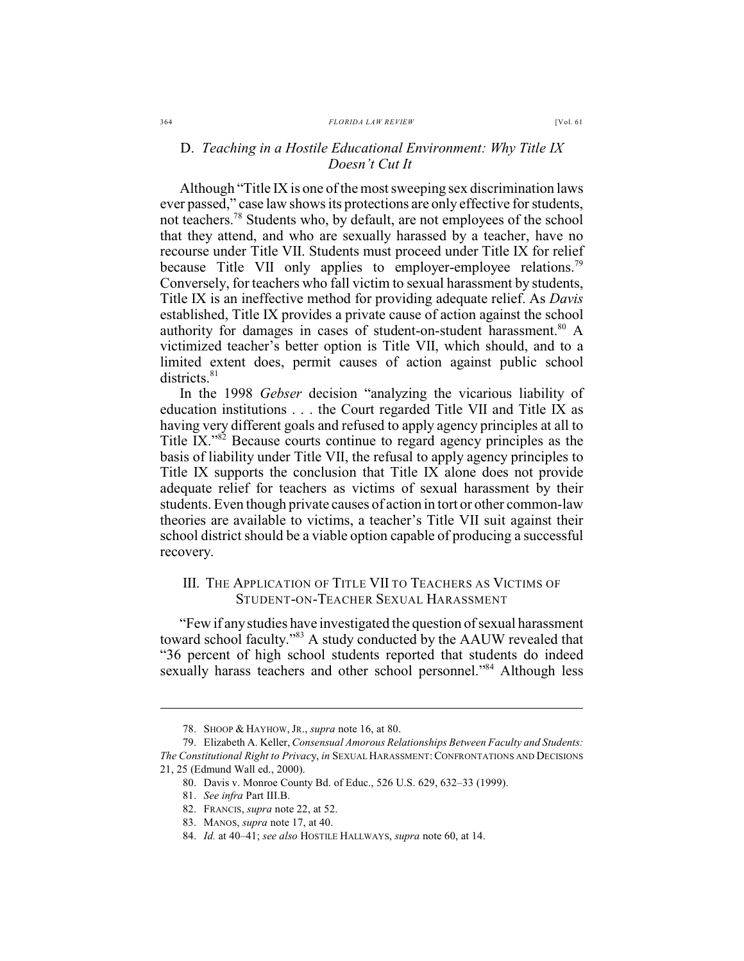#### D. *Teaching in a Hostile Educational Environment: Why Title IX Doesn't Cut It*

Although "Title IX is one of the most sweeping sex discrimination laws ever passed," case law shows its protections are only effective for students, not teachers.<sup>78</sup> Students who, by default, are not employees of the school that they attend, and who are sexually harassed by a teacher, have no recourse under Title VII. Students must proceed under Title IX for relief because Title VII only applies to employer-employee relations.<sup>79</sup> Conversely, for teachers who fall victim to sexual harassment by students, Title IX is an ineffective method for providing adequate relief. As *Davis* established, Title IX provides a private cause of action against the school authority for damages in cases of student-on-student harassment.<sup>80</sup> A victimized teacher's better option is Title VII, which should, and to a limited extent does, permit causes of action against public school districts.<sup>81</sup>

In the 1998 *Gebser* decision "analyzing the vicarious liability of education institutions . . . the Court regarded Title VII and Title IX as having very different goals and refused to apply agency principles at all to Title IX."<sup>82</sup> Because courts continue to regard agency principles as the basis of liability under Title VII, the refusal to apply agency principles to Title IX supports the conclusion that Title IX alone does not provide adequate relief for teachers as victims of sexual harassment by their students. Even though private causes of action in tort or other common-law theories are available to victims, a teacher's Title VII suit against their school district should be a viable option capable of producing a successful recovery.

#### III. THE APPLICATION OF TITLE VII TO TEACHERS AS VICTIMS OF STUDENT-ON-TEACHER SEXUAL HARASSMENT

"Few if anystudies have investigated the question of sexual harassment toward school faculty."<sup>83</sup> A study conducted by the AAUW revealed that "36 percent of high school students reported that students do indeed sexually harass teachers and other school personnel."<sup>84</sup> Although less

<sup>78.</sup> SHOOP & HAYHOW, JR., *supra* note 16, at 80.

<sup>79.</sup> Elizabeth A. Keller, *Consensual Amorous Relationships Between Faculty and Students: The Constitutional Right to Privac*y, *in* SEXUAL HARASSMENT:CONFRONTATIONS AND DECISIONS 21, 25 (Edmund Wall ed., 2000).

<sup>80.</sup> Davis v. Monroe County Bd. of Educ., 526 U.S. 629, 632–33 (1999).

<sup>81.</sup> *See infra* Part III.B.

<sup>82.</sup> FRANCIS, *supra* note 22, at 52.

<sup>83.</sup> MANOS, *supra* note 17, at 40.

<sup>84.</sup> *Id.* at 40–41; *see also* HOSTILE HALLWAYS, *supra* note 60, at 14.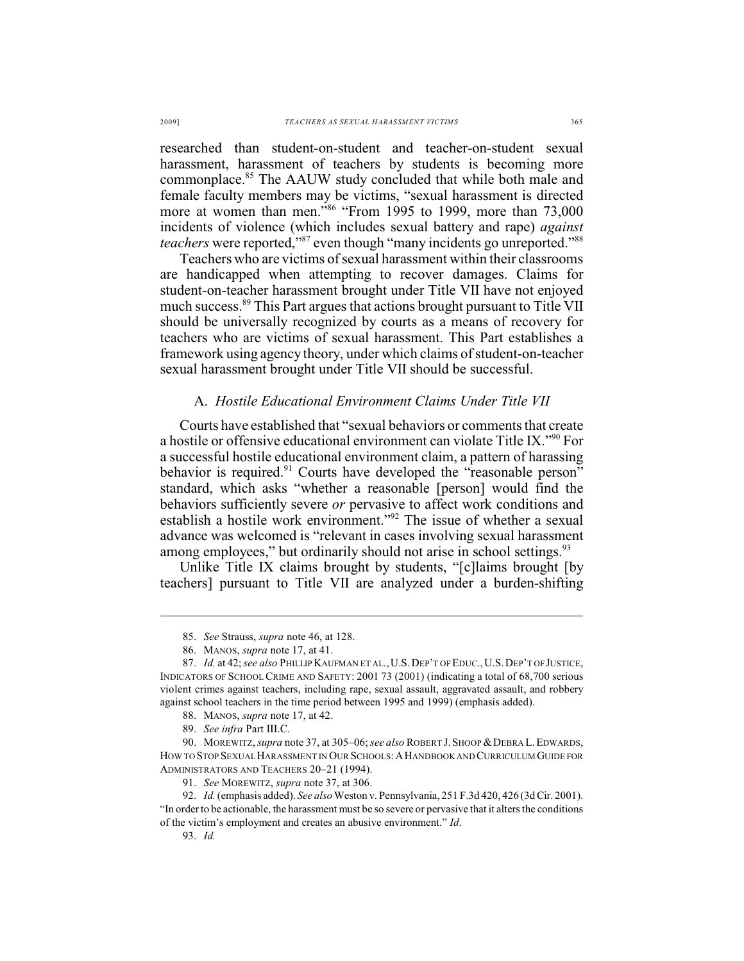researched than student-on-student and teacher-on-student sexual harassment, harassment of teachers by students is becoming more commonplace.<sup>85</sup> The AAUW study concluded that while both male and female faculty members may be victims, "sexual harassment is directed more at women than men."<sup>86</sup> "From 1995 to 1999, more than  $73,000$ incidents of violence (which includes sexual battery and rape) *against teachers* were reported,"<sup>87</sup> even though "many incidents go unreported."<sup>88</sup>

Teachers who are victims of sexual harassment within their classrooms are handicapped when attempting to recover damages. Claims for student-on-teacher harassment brought under Title VII have not enjoyed much success.<sup>89</sup> This Part argues that actions brought pursuant to Title VII should be universally recognized by courts as a means of recovery for teachers who are victims of sexual harassment. This Part establishes a framework using agency theory, under which claims of student-on-teacher sexual harassment brought under Title VII should be successful.

#### A. *Hostile Educational Environment Claims Under Title VII*

Courts have established that "sexual behaviors or comments that create a hostile or offensive educational environment can violate Title IX."<sup>90</sup> For a successful hostile educational environment claim, a pattern of harassing behavior is required. $91$  Courts have developed the "reasonable person" standard, which asks "whether a reasonable [person] would find the behaviors sufficiently severe *or* pervasive to affect work conditions and establish a hostile work environment."<sup>92</sup> The issue of whether a sexual advance was welcomed is "relevant in cases involving sexual harassment among employees," but ordinarily should not arise in school settings.<sup>93</sup>

Unlike Title IX claims brought by students, "[c]laims brought [by teachers] pursuant to Title VII are analyzed under a burden-shifting

<sup>85.</sup> *See* Strauss, *supra* note 46, at 128.

<sup>86.</sup> MANOS, *supra* note 17, at 41.

<sup>87.</sup> *Id.* at 42;*see also* PHILLIP KAUFMAN ET AL.,U.S.DEP'T OF EDUC.,U.S.DEP'T OF JUSTICE, INDICATORS OF SCHOOL CRIME AND SAFETY: 2001 73 (2001) (indicating a total of 68,700 serious violent crimes against teachers, including rape, sexual assault, aggravated assault, and robbery against school teachers in the time period between 1995 and 1999) (emphasis added).

<sup>88.</sup> MANOS, *supra* note 17, at 42.

<sup>89.</sup> *See infra* Part III.C.

<sup>90.</sup> MOREWITZ, *supra* note 37, at 305–06;*see also* ROBERT J.SHOOP &DEBRA L.EDWARDS, HOW TO STOP SEXUAL HARASSMENT IN OUR SCHOOLS:AHANDBOOK AND CURRICULUM GUIDE FOR ADMINISTRATORS AND TEACHERS 20–21 (1994).

<sup>91.</sup> *See* MOREWITZ, *supra* note 37, at 306.

<sup>92.</sup> *Id.* (emphasis added). *See also* Weston v. Pennsylvania, 251 F.3d 420, 426 (3d Cir. 2001). "In order to be actionable, the harassment must be so severe or pervasive that it alters the conditions of the victim's employment and creates an abusive environment." *Id*.

<sup>93.</sup> *Id.*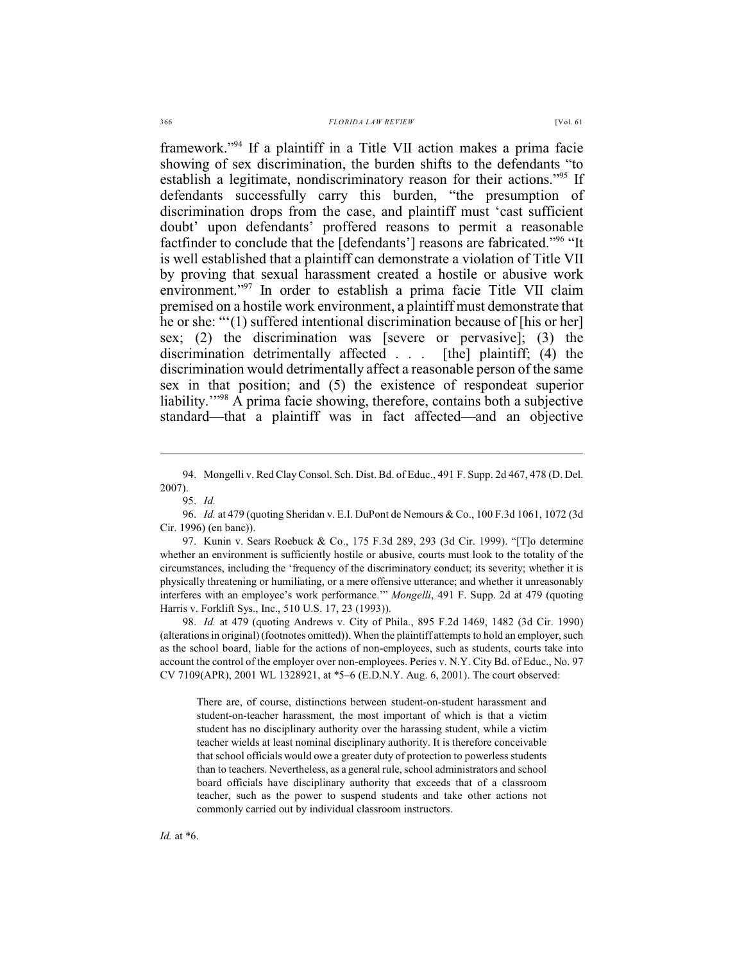framework."<sup>94</sup> If a plaintiff in a Title VII action makes a prima facie showing of sex discrimination, the burden shifts to the defendants "to establish a legitimate, nondiscriminatory reason for their actions."<sup>95</sup> If defendants successfully carry this burden, "the presumption of discrimination drops from the case, and plaintiff must 'cast sufficient doubt' upon defendants' proffered reasons to permit a reasonable factfinder to conclude that the [defendants'] reasons are fabricated."<sup>96</sup> "It is well established that a plaintiff can demonstrate a violation of Title VII by proving that sexual harassment created a hostile or abusive work environment."<sup>97</sup> In order to establish a prima facie Title VII claim premised on a hostile work environment, a plaintiff must demonstrate that he or she: "'(1) suffered intentional discrimination because of [his or her] sex; (2) the discrimination was [severe or pervasive]; (3) the discrimination detrimentally affected . . . [the] plaintiff; (4) the discrimination would detrimentally affect a reasonable person of the same sex in that position; and (5) the existence of respondeat superior liability. $1.88$ <sup>98</sup> A prima facie showing, therefore, contains both a subjective standard—that a plaintiff was in fact affected—and an objective

98. *Id.* at 479 (quoting Andrews v. City of Phila., 895 F.2d 1469, 1482 (3d Cir. 1990) (alterations in original) (footnotes omitted)). When the plaintiff attempts to hold an employer, such as the school board, liable for the actions of non-employees, such as students, courts take into account the control of the employer over non-employees. Peries v. N.Y. City Bd. of Educ., No. 97 CV 7109(APR), 2001 WL 1328921, at \*5–6 (E.D.N.Y. Aug. 6, 2001). The court observed:

There are, of course, distinctions between student-on-student harassment and student-on-teacher harassment, the most important of which is that a victim student has no disciplinary authority over the harassing student, while a victim teacher wields at least nominal disciplinary authority. It is therefore conceivable that school officials would owe a greater duty of protection to powerless students than to teachers. Nevertheless, as a general rule, school administrators and school board officials have disciplinary authority that exceeds that of a classroom teacher, such as the power to suspend students and take other actions not commonly carried out by individual classroom instructors.

<sup>94.</sup> Mongelli v. Red Clay Consol. Sch. Dist. Bd. of Educ., 491 F. Supp. 2d 467, 478 (D. Del. 2007).

<sup>95.</sup> *Id.*

<sup>96.</sup> *Id.* at 479 (quoting Sheridan v. E.I. DuPont de Nemours & Co., 100 F.3d 1061, 1072 (3d Cir. 1996) (en banc)).

<sup>97.</sup> Kunin v. Sears Roebuck & Co., 175 F.3d 289, 293 (3d Cir. 1999). "[T]o determine whether an environment is sufficiently hostile or abusive, courts must look to the totality of the circumstances, including the 'frequency of the discriminatory conduct; its severity; whether it is physically threatening or humiliating, or a mere offensive utterance; and whether it unreasonably interferes with an employee's work performance.'" *Mongelli*, 491 F. Supp. 2d at 479 (quoting Harris v. Forklift Sys., Inc., 510 U.S. 17, 23 (1993)).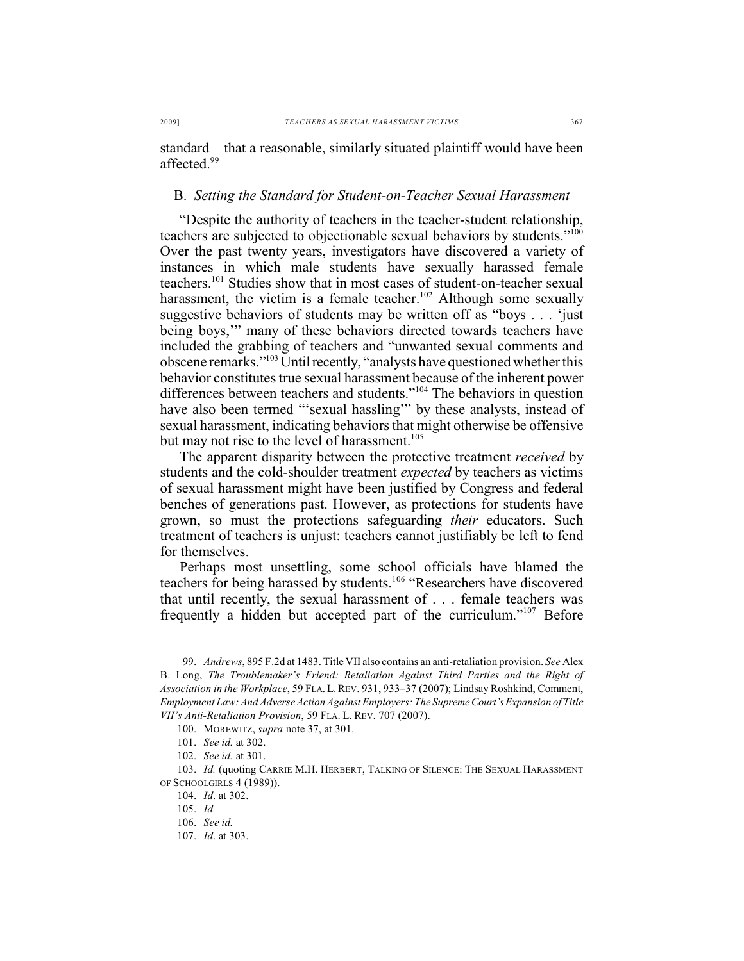standard—that a reasonable, similarly situated plaintiff would have been affected<sup>99</sup>

#### B. *Setting the Standard for Student-on-Teacher Sexual Harassment*

"Despite the authority of teachers in the teacher-student relationship, teachers are subjected to objectionable sexual behaviors by students."<sup>100</sup> Over the past twenty years, investigators have discovered a variety of instances in which male students have sexually harassed female teachers. $101$  Studies show that in most cases of student-on-teacher sexual harassment, the victim is a female teacher.<sup>102</sup> Although some sexually suggestive behaviors of students may be written off as "boys . . . 'just being boys,'" many of these behaviors directed towards teachers have included the grabbing of teachers and "unwanted sexual comments and obscene remarks."<sup>103</sup> Until recently, "analysts have questioned whether this behavior constitutes true sexual harassment because of the inherent power differences between teachers and students." $104$  The behaviors in question have also been termed "'sexual hassling" by these analysts, instead of sexual harassment, indicating behaviors that might otherwise be offensive but may not rise to the level of harassment.<sup>105</sup>

The apparent disparity between the protective treatment *received* by students and the cold-shoulder treatment *expected* by teachers as victims of sexual harassment might have been justified by Congress and federal benches of generations past. However, as protections for students have grown, so must the protections safeguarding *their* educators. Such treatment of teachers is unjust: teachers cannot justifiably be left to fend for themselves.

Perhaps most unsettling, some school officials have blamed the teachers for being harassed by students.<sup>106</sup> "Researchers have discovered that until recently, the sexual harassment of . . . female teachers was frequently a hidden but accepted part of the curriculum." $107$  Before

<sup>99.</sup> *Andrews*, 895 F.2d at 1483. Title VII also contains an anti-retaliation provision. *See* Alex B. Long, *The Troublemaker's Friend: Retaliation Against Third Parties and the Right of Association in the Workplace*, 59 FLA.L.REV. 931, 933–37 (2007); Lindsay Roshkind, Comment, *Employment Law: And Adverse Action Against Employers: The Supreme Court's Expansion of Title VII's Anti-Retaliation Provision*, 59 FLA. L. REV. 707 (2007).

<sup>100.</sup> MOREWITZ, *supra* note 37, at 301.

<sup>101.</sup> *See id.* at 302.

<sup>102.</sup> *See id.* at 301.

<sup>103.</sup> *Id.* (quoting CARRIE M.H. HERBERT, TALKING OF SILENCE: THE SEXUAL HARASSMENT OF SCHOOLGIRLS 4 (1989)).

<sup>104.</sup> *Id*. at 302.

<sup>105.</sup> *Id.*

<sup>106.</sup> *See id.*

<sup>107.</sup> *Id*. at 303.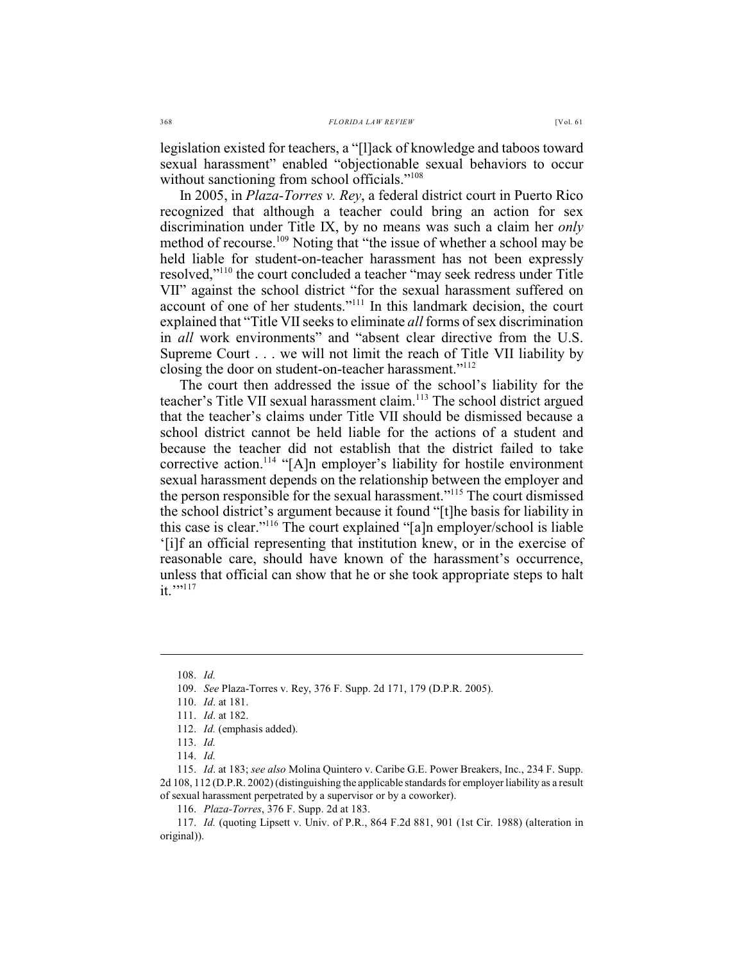legislation existed for teachers, a "[l]ack of knowledge and taboos toward sexual harassment" enabled "objectionable sexual behaviors to occur without sanctioning from school officials."<sup>108</sup>

In 2005, in *Plaza-Torres v. Rey*, a federal district court in Puerto Rico recognized that although a teacher could bring an action for sex discrimination under Title IX, by no means was such a claim her *only* method of recourse.<sup>109</sup> Noting that "the issue of whether a school may be held liable for student-on-teacher harassment has not been expressly resolved,"<sup>110</sup> the court concluded a teacher "may seek redress under Title VII" against the school district "for the sexual harassment suffered on account of one of her students."<sup>111</sup> In this landmark decision, the court explained that "Title VII seeks to eliminate *all* forms of sex discrimination in *all* work environments" and "absent clear directive from the U.S. Supreme Court . . . we will not limit the reach of Title VII liability by closing the door on student-on-teacher harassment."<sup>112</sup>

The court then addressed the issue of the school's liability for the teacher's Title VII sexual harassment claim.<sup>113</sup> The school district argued that the teacher's claims under Title VII should be dismissed because a school district cannot be held liable for the actions of a student and because the teacher did not establish that the district failed to take corrective action.<sup>114</sup> "[A]n employer's liability for hostile environment sexual harassment depends on the relationship between the employer and the person responsible for the sexual harassment."<sup>115</sup> The court dismissed the school district's argument because it found "[t]he basis for liability in this case is clear."<sup>116</sup> The court explained "[a]n employer/school is liable '[i]f an official representing that institution knew, or in the exercise of reasonable care, should have known of the harassment's occurrence, unless that official can show that he or she took appropriate steps to halt  $it.$ "<sup>117</sup>

<sup>108.</sup> *Id.*

<sup>109.</sup> *See* Plaza-Torres v. Rey, 376 F. Supp. 2d 171, 179 (D.P.R. 2005).

<sup>110.</sup> *Id*. at 181.

<sup>111.</sup> *Id*. at 182.

<sup>112.</sup> *Id.* (emphasis added).

<sup>113.</sup> *Id.*

<sup>114.</sup> *Id.* 

<sup>115.</sup> *Id*. at 183; *see also* Molina Quintero v. Caribe G.E. Power Breakers, Inc., 234 F. Supp. 2d 108, 112 (D.P.R. 2002) (distinguishing the applicable standards for employer liability as a result of sexual harassment perpetrated by a supervisor or by a coworker).

<sup>116.</sup> *Plaza-Torres*, 376 F. Supp. 2d at 183.

<sup>117.</sup> *Id.* (quoting Lipsett v. Univ. of P.R., 864 F.2d 881, 901 (1st Cir. 1988) (alteration in original)).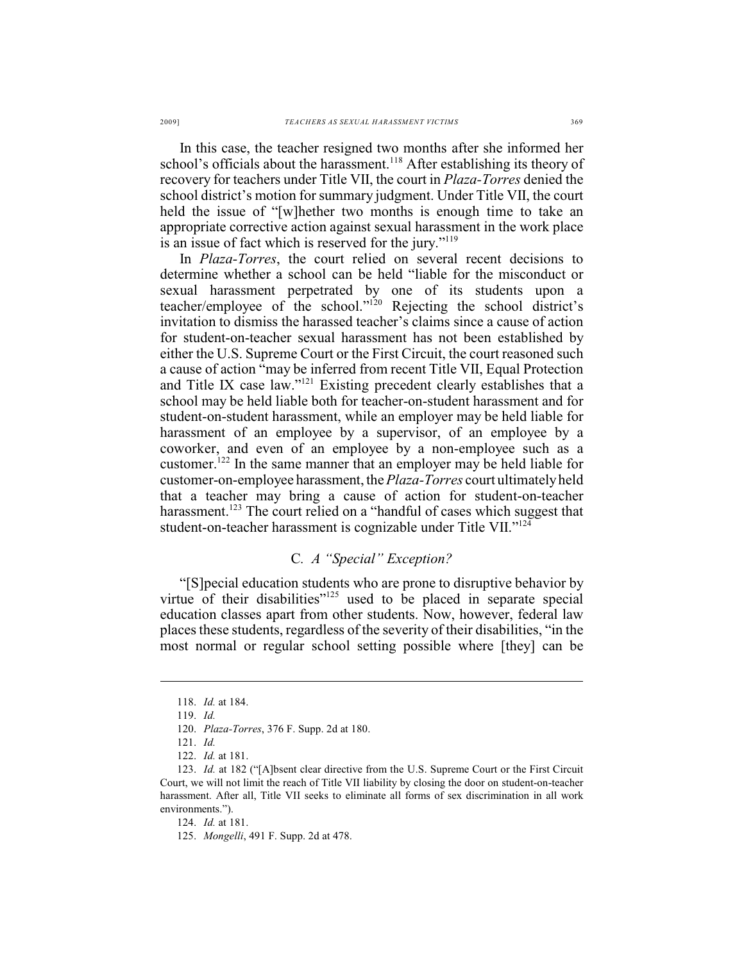In this case, the teacher resigned two months after she informed her school's officials about the harassment.<sup>118</sup> After establishing its theory of recovery for teachers under Title VII, the court in *Plaza-Torres* denied the school district's motion for summary judgment. Under Title VII, the court held the issue of "[w]hether two months is enough time to take an appropriate corrective action against sexual harassment in the work place is an issue of fact which is reserved for the jury."<sup>119</sup>

In *Plaza-Torres*, the court relied on several recent decisions to determine whether a school can be held "liable for the misconduct or sexual harassment perpetrated by one of its students upon a teacher/employee of the school."<sup>120</sup> Rejecting the school district's invitation to dismiss the harassed teacher's claims since a cause of action for student-on-teacher sexual harassment has not been established by either the U.S. Supreme Court or the First Circuit, the court reasoned such a cause of action "may be inferred from recent Title VII, Equal Protection and Title IX case law." $^{121}$  Existing precedent clearly establishes that a school may be held liable both for teacher-on-student harassment and for student-on-student harassment, while an employer may be held liable for harassment of an employee by a supervisor, of an employee by a coworker, and even of an employee by a non-employee such as a customer.<sup>122</sup> In the same manner that an employer may be held liable for customer-on-employee harassment, the*Plaza-Torres* court ultimately held that a teacher may bring a cause of action for student-on-teacher harassment.<sup> $123$ </sup> The court relied on a "handful of cases which suggest that student-on-teacher harassment is cognizable under Title VII."<sup>124</sup>

#### C*. A "Special" Exception?*

"[S]pecial education students who are prone to disruptive behavior by virtue of their disabilities"<sup>125</sup> used to be placed in separate special education classes apart from other students. Now, however, federal law places these students, regardless of the severity of their disabilities, "in the most normal or regular school setting possible where [they] can be

124. *Id.* at 181.

<sup>118.</sup> *Id.* at 184.

<sup>119.</sup> *Id.*

<sup>120.</sup> *Plaza-Torres*, 376 F. Supp. 2d at 180.

<sup>121.</sup> *Id.*

<sup>122.</sup> *Id.* at 181.

<sup>123.</sup> *Id.* at 182 ("[A]bsent clear directive from the U.S. Supreme Court or the First Circuit Court, we will not limit the reach of Title VII liability by closing the door on student-on-teacher harassment. After all, Title VII seeks to eliminate all forms of sex discrimination in all work environments.").

<sup>125.</sup> *Mongelli*, 491 F. Supp. 2d at 478.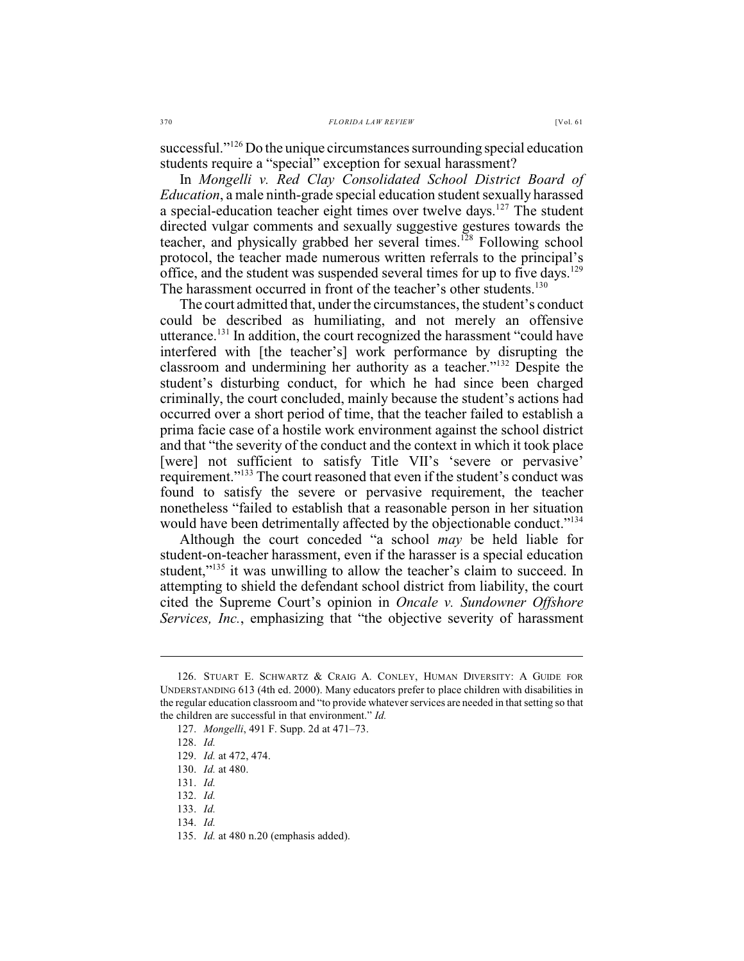successful."<sup>126</sup> Do the unique circumstances surrounding special education students require a "special" exception for sexual harassment?

In *Mongelli v. Red Clay Consolidated School District Board of Education*, a male ninth-grade special education student sexually harassed a special-education teacher eight times over twelve days.<sup>127</sup> The student directed vulgar comments and sexually suggestive gestures towards the teacher, and physically grabbed her several times.<sup>128</sup> Following school protocol, the teacher made numerous written referrals to the principal's office, and the student was suspended several times for up to five days.<sup>129</sup> The harassment occurred in front of the teacher's other students.<sup>130</sup>

The court admitted that, under the circumstances, the student's conduct could be described as humiliating, and not merely an offensive utterance.<sup>131</sup> In addition, the court recognized the harassment "could have interfered with [the teacher's] work performance by disrupting the classroom and undermining her authority as a teacher." $132$  Despite the student's disturbing conduct, for which he had since been charged criminally, the court concluded, mainly because the student's actions had occurred over a short period of time, that the teacher failed to establish a prima facie case of a hostile work environment against the school district and that "the severity of the conduct and the context in which it took place [were] not sufficient to satisfy Title VII's 'severe or pervasive' requirement."<sup>133</sup> The court reasoned that even if the student's conduct was found to satisfy the severe or pervasive requirement, the teacher nonetheless "failed to establish that a reasonable person in her situation would have been detrimentally affected by the objectionable conduct."<sup>134</sup>

Although the court conceded "a school *may* be held liable for student-on-teacher harassment, even if the harasser is a special education student,"<sup>135</sup> it was unwilling to allow the teacher's claim to succeed. In attempting to shield the defendant school district from liability, the court cited the Supreme Court's opinion in *Oncale v. Sundowner Offshore Services, Inc.*, emphasizing that "the objective severity of harassment

<sup>126.</sup> STUART E. SCHWARTZ & CRAIG A. CONLEY, HUMAN DIVERSITY: A GUIDE FOR UNDERSTANDING 613 (4th ed. 2000). Many educators prefer to place children with disabilities in the regular education classroom and "to provide whatever services are needed in that setting so that the children are successful in that environment." *Id.*

<sup>127.</sup> *Mongelli*, 491 F. Supp. 2d at 471–73.

<sup>128.</sup> *Id.*

<sup>129.</sup> *Id.* at 472, 474.

<sup>130.</sup> *Id.* at 480.

<sup>131.</sup> *Id.*

<sup>132.</sup> *Id.*

<sup>133.</sup> *Id.* 

<sup>134.</sup> *Id.*

<sup>135.</sup> *Id.* at 480 n.20 (emphasis added).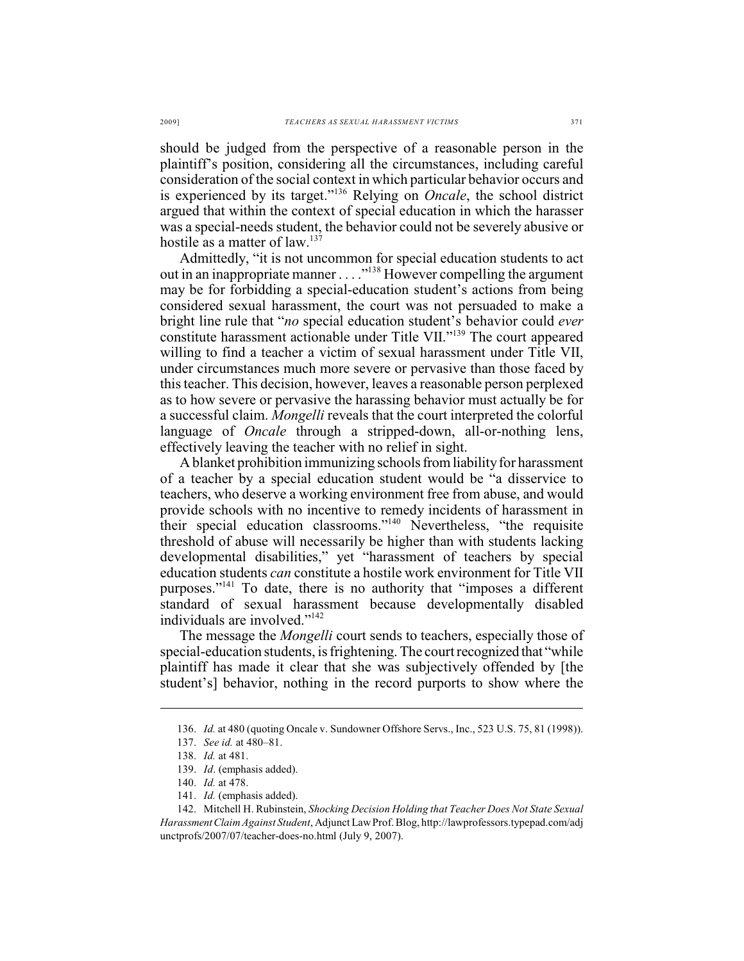should be judged from the perspective of a reasonable person in the plaintiff's position, considering all the circumstances, including careful consideration of the social context in which particular behavior occurs and is experienced by its target."<sup>136</sup> Relying on *Oncale*, the school district argued that within the context of special education in which the harasser was a special-needs student, the behavior could not be severely abusive or hostile as a matter of law.<sup>137</sup>

Admittedly, "it is not uncommon for special education students to act out in an inappropriate manner . . . . "<sup>138</sup> However compelling the argument may be for forbidding a special-education student's actions from being considered sexual harassment, the court was not persuaded to make a bright line rule that "*no* special education student's behavior could *ever* constitute harassment actionable under Title VII."<sup>139</sup> The court appeared willing to find a teacher a victim of sexual harassment under Title VII, under circumstances much more severe or pervasive than those faced by this teacher. This decision, however, leaves a reasonable person perplexed as to how severe or pervasive the harassing behavior must actually be for a successful claim. *Mongelli* reveals that the court interpreted the colorful language of *Oncale* through a stripped-down, all-or-nothing lens, effectively leaving the teacher with no relief in sight.

A blanket prohibition immunizing schools from liability for harassment of a teacher by a special education student would be "a disservice to teachers, who deserve a working environment free from abuse, and would provide schools with no incentive to remedy incidents of harassment in their special education classrooms."<sup>140</sup> Nevertheless, "the requisite threshold of abuse will necessarily be higher than with students lacking developmental disabilities," yet "harassment of teachers by special education students *can* constitute a hostile work environment for Title VII purposes."<sup>141</sup> To date, there is no authority that "imposes a different standard of sexual harassment because developmentally disabled individuals are involved."<sup>142</sup>

The message the *Mongelli* court sends to teachers, especially those of special-education students, is frightening. The court recognized that "while plaintiff has made it clear that she was subjectively offended by [the student's] behavior, nothing in the record purports to show where the

<sup>136.</sup> *Id.* at 480 (quoting Oncale v. Sundowner Offshore Servs., Inc., 523 U.S. 75, 81 (1998)).

<sup>137.</sup> *See id.* at 480–81.

<sup>138.</sup> *Id.* at 481.

<sup>139.</sup> *Id*. (emphasis added).

<sup>140.</sup> *Id.* at 478.

<sup>141.</sup> *Id.* (emphasis added).

<sup>142.</sup> Mitchell H. Rubinstein, *Shocking Decision Holding that Teacher Does Not State Sexual Harassment Claim Against Student*, Adjunct Law Prof. Blog, http://lawprofessors.typepad.com/adj unctprofs/2007/07/teacher-does-no.html (July 9, 2007).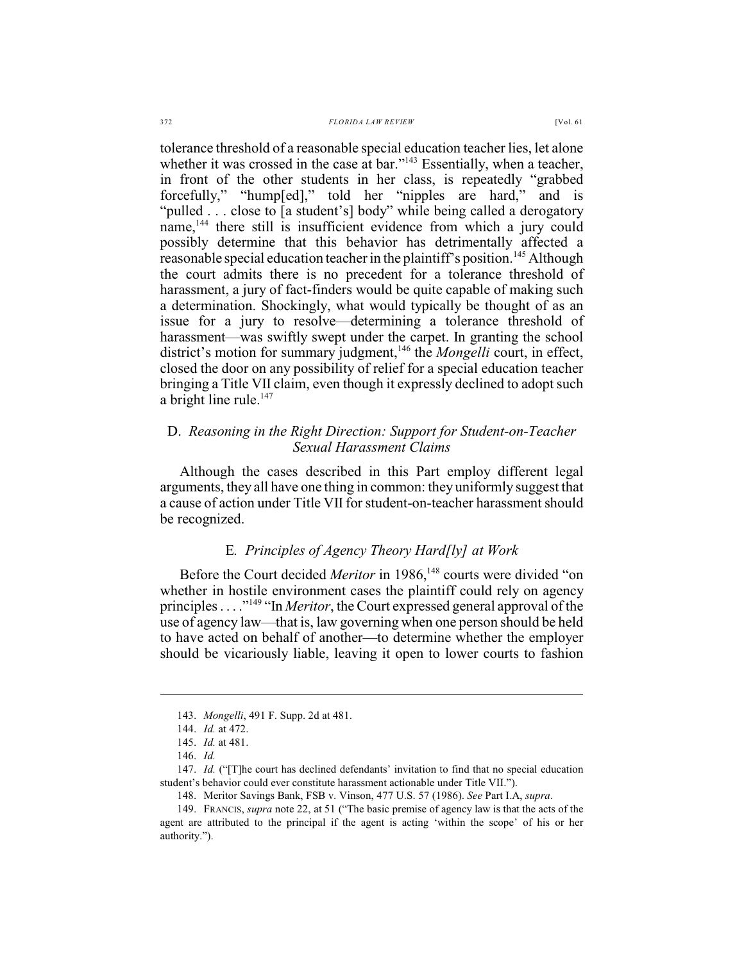tolerance threshold of a reasonable special education teacher lies, let alone whether it was crossed in the case at bar." $^{143}$  Essentially, when a teacher, in front of the other students in her class, is repeatedly "grabbed forcefully," "hump[ed]," told her "nipples are hard," and is "pulled . . . close to [a student's] body" while being called a derogatory name,<sup>144</sup> there still is insufficient evidence from which a jury could possibly determine that this behavior has detrimentally affected a reasonable special education teacher in the plaintiff's position.<sup>145</sup> Although the court admits there is no precedent for a tolerance threshold of harassment, a jury of fact-finders would be quite capable of making such a determination. Shockingly, what would typically be thought of as an issue for a jury to resolve—determining a tolerance threshold of harassment—was swiftly swept under the carpet. In granting the school district's motion for summary judgment,<sup>146</sup> the *Mongelli* court, in effect, closed the door on any possibility of relief for a special education teacher bringing a Title VII claim, even though it expressly declined to adopt such a bright line rule. $147$ 

## D. *Reasoning in the Right Direction: Support for Student-on-Teacher Sexual Harassment Claims*

Although the cases described in this Part employ different legal arguments, they all have one thing in common: they uniformly suggest that a cause of action under Title VIIfor student-on-teacher harassment should be recognized.

# E*. Principles of Agency Theory Hard[ly] at Work*

Before the Court decided *Meritor* in 1986,<sup>148</sup> courts were divided "on whether in hostile environment cases the plaintiff could rely on agency principles . . . . "<sup>149</sup> "In *Meritor*, the Court expressed general approval of the use of agency law—that is, law governing when one person should be held to have acted on behalf of another—to determine whether the employer should be vicariously liable, leaving it open to lower courts to fashion

<sup>143.</sup> *Mongelli*, 491 F. Supp. 2d at 481.

<sup>144.</sup> *Id.* at 472.

<sup>145.</sup> *Id.* at 481.

<sup>146.</sup> *Id.*

<sup>147.</sup> *Id.* ("[T]he court has declined defendants' invitation to find that no special education student's behavior could ever constitute harassment actionable under Title VII.").

<sup>148.</sup> Meritor Savings Bank, FSB v. Vinson, 477 U.S. 57 (1986). *See* Part I.A, *supra*.

<sup>149.</sup> FRANCIS, *supra* note 22, at 51 ("The basic premise of agency law is that the acts of the agent are attributed to the principal if the agent is acting 'within the scope' of his or her authority.").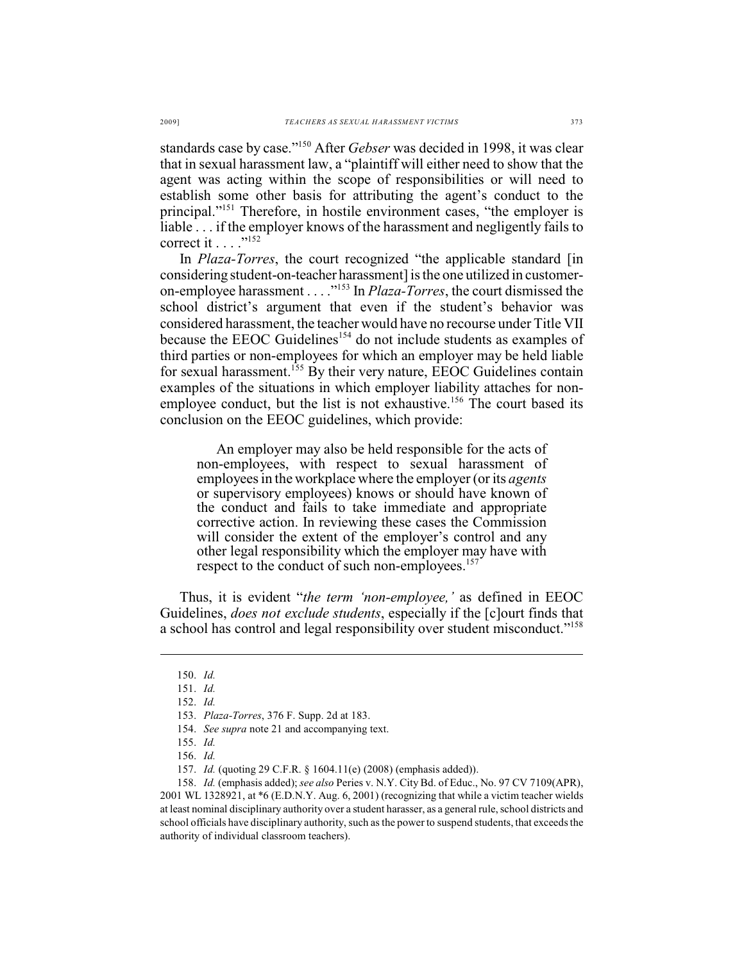standards case by case."<sup>150</sup> After *Gebser* was decided in 1998, it was clear that in sexual harassment law, a "plaintiff will either need to show that the agent was acting within the scope of responsibilities or will need to establish some other basis for attributing the agent's conduct to the principal."<sup>151</sup> Therefore, in hostile environment cases, "the employer is liable . . . if the employer knows of the harassment and negligently fails to correct it  $\ldots$  ."<sup>152</sup>

In *Plaza-Torres*, the court recognized "the applicable standard [in considering student-on-teacher harassment] is the one utilized in customeron-employee harassment . . . . <sup>"153</sup> In *Plaza-Torres*, the court dismissed the school district's argument that even if the student's behavior was considered harassment, the teacher would have no recourse under Title VII because the EEOC Guidelines<sup> $154$ </sup> do not include students as examples of third parties or non-employees for which an employer may be held liable for sexual harassment.<sup>155</sup> By their very nature, EEOC Guidelines contain examples of the situations in which employer liability attaches for nonemployee conduct, but the list is not exhaustive.<sup>156</sup> The court based its conclusion on the EEOC guidelines, which provide:

An employer may also be held responsible for the acts of non-employees, with respect to sexual harassment of employees in the workplace where the employer (or its *agents* or supervisory employees) knows or should have known of the conduct and fails to take immediate and appropriate corrective action. In reviewing these cases the Commission will consider the extent of the employer's control and any other legal responsibility which the employer may have with respect to the conduct of such non-employees.<sup>157</sup>

Thus, it is evident "*the term 'non-employee,'* as defined in EEOC Guidelines, *does not exclude students*, especially if the [c]ourt finds that a school has control and legal responsibility over student misconduct."158

158. *Id.* (emphasis added); *see also* Peries v. N.Y. City Bd. of Educ., No. 97 CV 7109(APR), 2001 WL 1328921, at \*6 (E.D.N.Y. Aug. 6, 2001) (recognizing that while a victim teacher wields at least nominal disciplinary authority over a student harasser, as a general rule, school districts and school officials have disciplinary authority, such as the power to suspend students, that exceeds the authority of individual classroom teachers).

<sup>150.</sup> *Id.* 

<sup>151.</sup> *Id.*

<sup>152.</sup> *Id.*

<sup>153.</sup> *Plaza-Torres*, 376 F. Supp. 2d at 183.

<sup>154.</sup> *See supra* note 21 and accompanying text.

<sup>155.</sup> *Id.*

<sup>156.</sup> *Id.*

<sup>157.</sup> *Id.* (quoting 29 C.F.R. § 1604.11(e) (2008) (emphasis added)).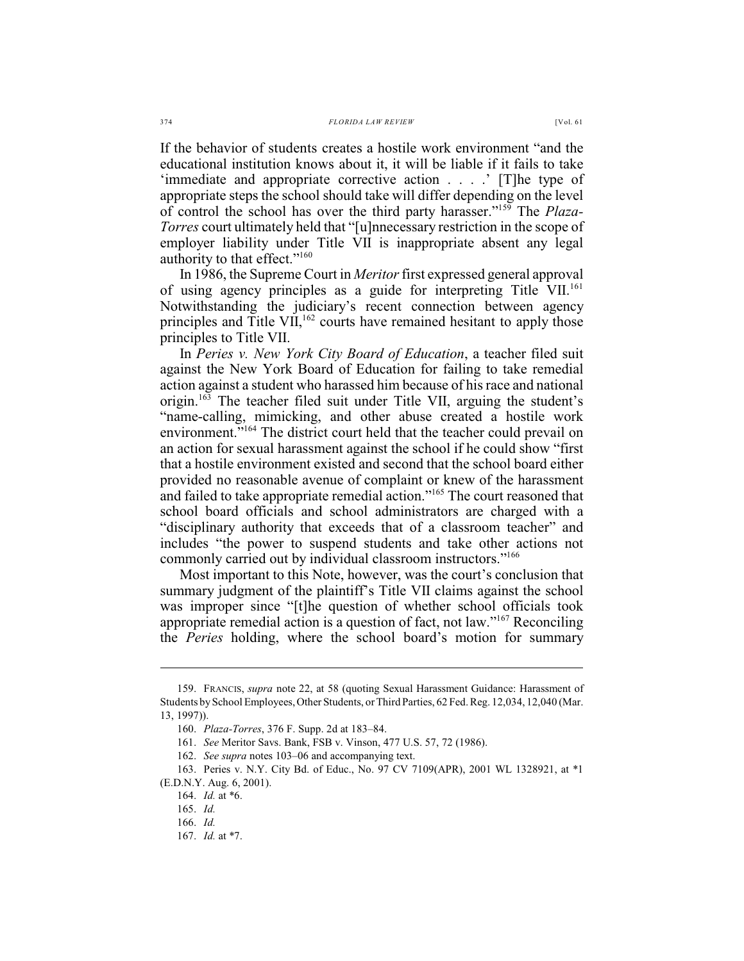If the behavior of students creates a hostile work environment "and the educational institution knows about it, it will be liable if it fails to take 'immediate and appropriate corrective action . . . .' [T]he type of appropriate steps the school should take will differ depending on the level of control the school has over the third party harasser."<sup>159</sup> The *Plaza*-*Torres* court ultimately held that "[u]nnecessary restriction in the scope of employer liability under Title VII is inappropriate absent any legal authority to that effect."<sup>160</sup>

In 1986, the Supreme Court in *Meritor* first expressed general approval of using agency principles as a guide for interpreting Title VII.<sup>161</sup> Notwithstanding the judiciary's recent connection between agency principles and Title VII,  $^{162}$  courts have remained hesitant to apply those principles to Title VII.

In *Peries v. New York City Board of Education*, a teacher filed suit against the New York Board of Education for failing to take remedial action against a student who harassed him because of his race and national origin.  $16\overline{3}$  The teacher filed suit under Title VII, arguing the student's "name-calling, mimicking, and other abuse created a hostile work environment."<sup>164</sup> The district court held that the teacher could prevail on an action for sexual harassment against the school if he could show "first that a hostile environment existed and second that the school board either provided no reasonable avenue of complaint or knew of the harassment and failed to take appropriate remedial action."<sup>165</sup> The court reasoned that school board officials and school administrators are charged with a "disciplinary authority that exceeds that of a classroom teacher" and includes "the power to suspend students and take other actions not commonly carried out by individual classroom instructors."<sup>166</sup>

Most important to this Note, however, was the court's conclusion that summary judgment of the plaintiff's Title VII claims against the school was improper since "[t]he question of whether school officials took appropriate remedial action is a question of fact, not law." $167$  Reconciling the *Peries* holding, where the school board's motion for summary

<sup>159.</sup> FRANCIS, *supra* note 22, at 58 (quoting Sexual Harassment Guidance: Harassment of Students by School Employees, Other Students, or Third Parties, 62 Fed. Reg. 12,034, 12,040 (Mar. 13, 1997)).

<sup>160.</sup> *Plaza-Torres*, 376 F. Supp. 2d at 183–84.

<sup>161.</sup> *See* Meritor Savs. Bank, FSB v. Vinson, 477 U.S. 57, 72 (1986).

<sup>162.</sup> *See supra* notes 103–06 and accompanying text.

<sup>163.</sup> Peries v. N.Y. City Bd. of Educ., No. 97 CV 7109(APR), 2001 WL 1328921, at \*1 (E.D.N.Y. Aug. 6, 2001).

<sup>164.</sup> *Id.* at \*6.

<sup>165.</sup> *Id.*

<sup>166.</sup> *Id.*

<sup>167.</sup> *Id.* at \*7.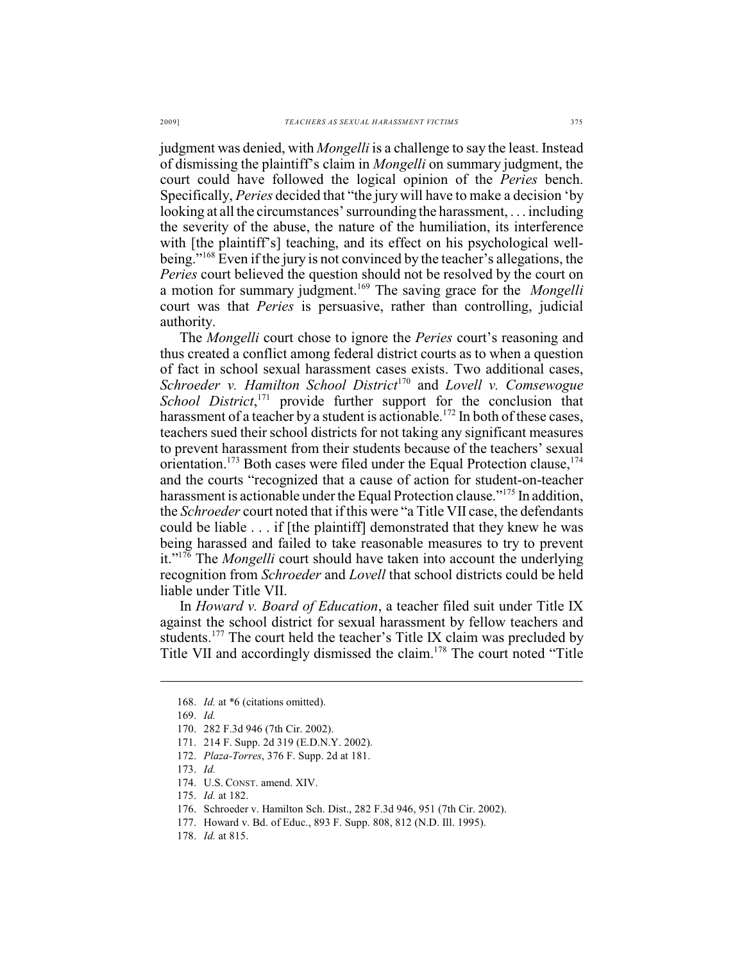judgment was denied, with *Mongelli* is a challenge to say the least. Instead of dismissing the plaintiff's claim in *Mongelli* on summary judgment, the court could have followed the logical opinion of the *Peries* bench. Specifically, *Peries* decided that "the jury will have to make a decision 'by looking at all the circumstances' surrounding the harassment, . . . including the severity of the abuse, the nature of the humiliation, its interference with [the plaintiff's] teaching, and its effect on his psychological wellbeing."<sup>168</sup> Even if the jury is not convinced by the teacher's allegations, the *Peries* court believed the question should not be resolved by the court on a motion for summary judgment.<sup>169</sup> The saving grace for the *Mongelli* court was that *Peries* is persuasive, rather than controlling, judicial authority.

The *Mongelli* court chose to ignore the *Peries* court's reasoning and thus created a conflict among federal district courts as to when a question of fact in school sexual harassment cases exists. Two additional cases, *Schroeder v. Hamilton School District<sup>170</sup> and Lovell <i>v. Comsewogue School District*,<sup>171</sup> provide further support for the conclusion that harassment of a teacher by a student is actionable.<sup>172</sup> In both of these cases, teachers sued their school districts for not taking any significant measures to prevent harassment from their students because of the teachers' sexual orientation.<sup>173</sup> Both cases were filed under the Equal Protection clause,  $174$ and the courts "recognized that a cause of action for student-on-teacher harassment is actionable under the Equal Protection clause."<sup>175</sup> In addition, the *Schroeder* court noted that if this were "a Title VII case, the defendants could be liable . . . if [the plaintiff] demonstrated that they knew he was being harassed and failed to take reasonable measures to try to prevent it."<sup>176</sup> The *Mongelli* court should have taken into account the underlying recognition from *Schroeder* and *Lovell* that school districts could be held liable under Title VII.

In *Howard v. Board of Education*, a teacher filed suit under Title IX against the school district for sexual harassment by fellow teachers and students.<sup>177</sup> The court held the teacher's Title IX claim was precluded by Title VII and accordingly dismissed the claim.<sup>178</sup> The court noted "Title"

<sup>168.</sup> *Id.* at \*6 (citations omitted).

<sup>169.</sup> *Id.*

<sup>170.</sup> 282 F.3d 946 (7th Cir. 2002).

<sup>171.</sup> 214 F. Supp. 2d 319 (E.D.N.Y. 2002).

<sup>172.</sup> *Plaza-Torres*, 376 F. Supp. 2d at 181.

<sup>173.</sup> *Id.* 

<sup>174.</sup> U.S. CONST. amend. XIV.

<sup>175.</sup> *Id.* at 182.

<sup>176.</sup> Schroeder v. Hamilton Sch. Dist., 282 F.3d 946, 951 (7th Cir. 2002).

<sup>177.</sup> Howard v. Bd. of Educ., 893 F. Supp. 808, 812 (N.D. Ill. 1995).

<sup>178.</sup> *Id.* at 815.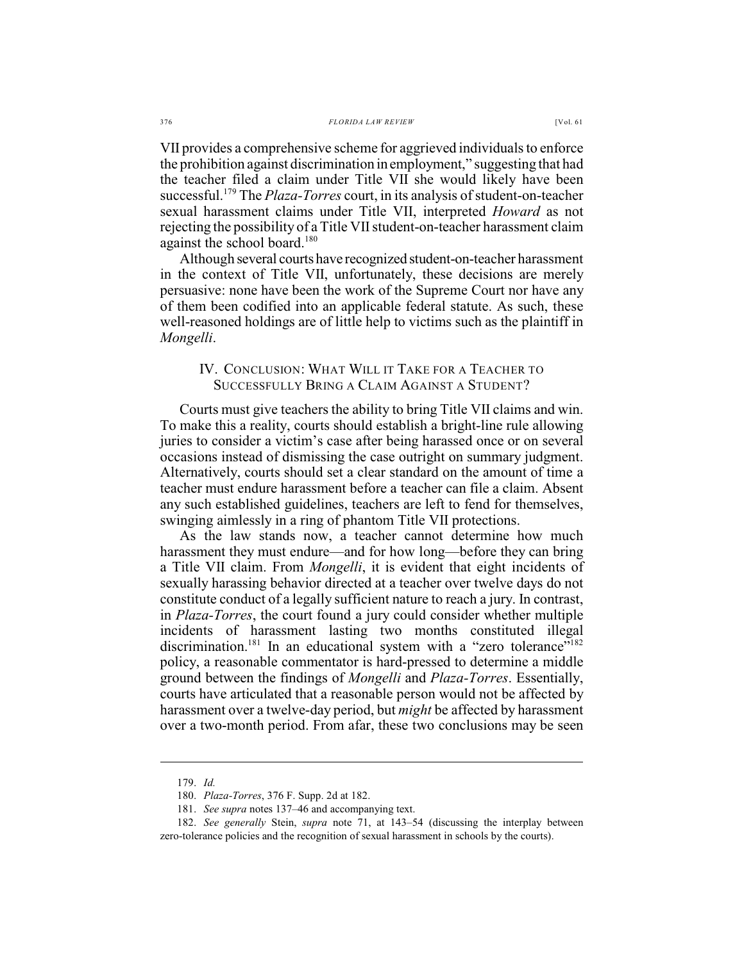VII provides a comprehensive scheme for aggrieved individuals to enforce the prohibition against discrimination in employment," suggesting that had

the teacher filed a claim under Title VII she would likely have been successful.<sup>179</sup> The *Plaza-Torres* court, in its analysis of student-on-teacher sexual harassment claims under Title VII, interpreted *Howard* as not rejecting the possibility of a Title VII student-on-teacher harassment claim against the school board.<sup>180</sup>

Although several courts have recognized student-on-teacher harassment in the context of Title VII, unfortunately, these decisions are merely persuasive: none have been the work of the Supreme Court nor have any of them been codified into an applicable federal statute. As such, these well-reasoned holdings are of little help to victims such as the plaintiff in *Mongelli*.

## IV. CONCLUSION: WHAT WILL IT TAKE FOR A TEACHER TO SUCCESSFULLY BRING A CLAIM AGAINST A STUDENT?

Courts must give teachers the ability to bring Title VII claims and win. To make this a reality, courts should establish a bright-line rule allowing juries to consider a victim's case after being harassed once or on several occasions instead of dismissing the case outright on summary judgment. Alternatively, courts should set a clear standard on the amount of time a teacher must endure harassment before a teacher can file a claim. Absent any such established guidelines, teachers are left to fend for themselves, swinging aimlessly in a ring of phantom Title VII protections.

As the law stands now, a teacher cannot determine how much harassment they must endure—and for how long—before they can bring a Title VII claim. From *Mongelli*, it is evident that eight incidents of sexually harassing behavior directed at a teacher over twelve days do not constitute conduct of a legally sufficient nature to reach a jury. In contrast, in *Plaza-Torres*, the court found a jury could consider whether multiple incidents of harassment lasting two months constituted illegal discrimination.<sup>181</sup> In an educational system with a "zero tolerance"<sup>182</sup> policy, a reasonable commentator is hard-pressed to determine a middle ground between the findings of *Mongelli* and *Plaza-Torres*. Essentially, courts have articulated that a reasonable person would not be affected by harassment over a twelve-day period, but *might* be affected by harassment over a two-month period. From afar, these two conclusions may be seen

<sup>179.</sup> *Id.*

<sup>180.</sup> *Plaza-Torres*, 376 F. Supp. 2d at 182.

<sup>181.</sup> *See supra* notes 137–46 and accompanying text.

<sup>182.</sup> *See generally* Stein, *supra* note 71, at 143–54 (discussing the interplay between zero-tolerance policies and the recognition of sexual harassment in schools by the courts).